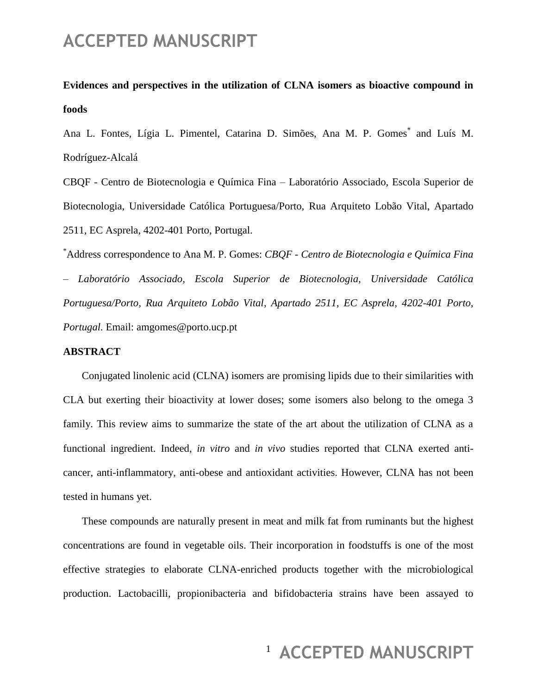#### **Evidences and perspectives in the utilization of CLNA isomers as bioactive compound in foods**

Ana L. Fontes, Lígia L. Pimentel, Catarina D. Simões, Ana M. P. Gomes<sup>\*</sup> and Luís M. Rodríguez-Alcalá

CBQF - Centro de Biotecnologia e Química Fina – Laboratório Associado, Escola Superior de Biotecnologia, Universidade Católica Portuguesa/Porto, Rua Arquiteto Lobão Vital, Apartado 2511, EC Asprela, 4202-401 Porto, Portugal.

\*Address correspondence to Ana M. P. Gomes: *CBQF - Centro de Biotecnologia e Química Fina – Laboratório Associado, Escola Superior de Biotecnologia, Universidade Católica Portuguesa/Porto, Rua Arquiteto Lobão Vital, Apartado 2511, EC Asprela, 4202-401 Porto, Portugal.* Email: amgomes@porto.ucp.pt

#### **ABSTRACT**

Conjugated linolenic acid (CLNA) isomers are promising lipids due to their similarities with CLA but exerting their bioactivity at lower doses; some isomers also belong to the omega 3 family. This review aims to summarize the state of the art about the utilization of CLNA as a functional ingredient. Indeed, *in vitro* and *in vivo* studies reported that CLNA exerted anticancer, anti-inflammatory, anti-obese and antioxidant activities. However, CLNA has not been tested in humans yet.

These compounds are naturally present in meat and milk fat from ruminants but the highest concentrations are found in vegetable oils. Their incorporation in foodstuffs is one of the most effective strategies to elaborate CLNA-enriched products together with the microbiological production. Lactobacilli, propionibacteria and bifidobacteria strains have been assayed to

#### <sup>1</sup> ACCEPTED MANUSCRIPT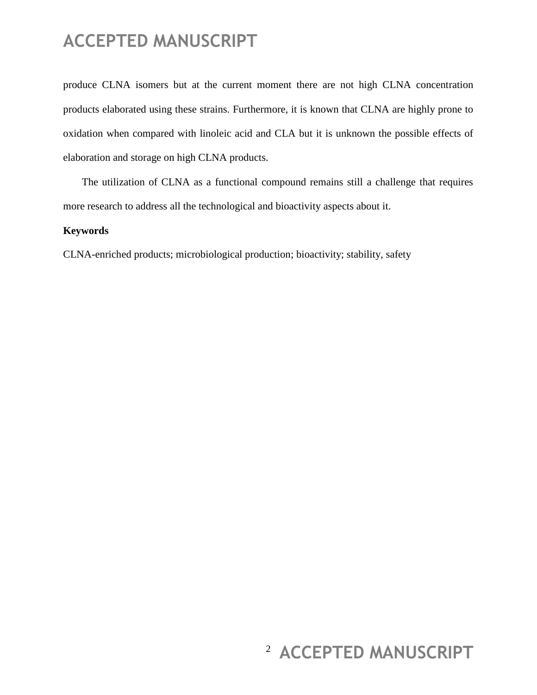produce CLNA isomers but at the current moment there are not high CLNA concentration products elaborated using these strains. Furthermore, it is known that CLNA are highly prone to oxidation when compared with linoleic acid and CLA but it is unknown the possible effects of elaboration and storage on high CLNA products.

The utilization of CLNA as a functional compound remains still a challenge that requires more research to address all the technological and bioactivity aspects about it.

#### **Keywords**

CLNA-enriched products; microbiological production; bioactivity; stability, safety

# <sup>2</sup> ACCEPTED MANUSCRIPT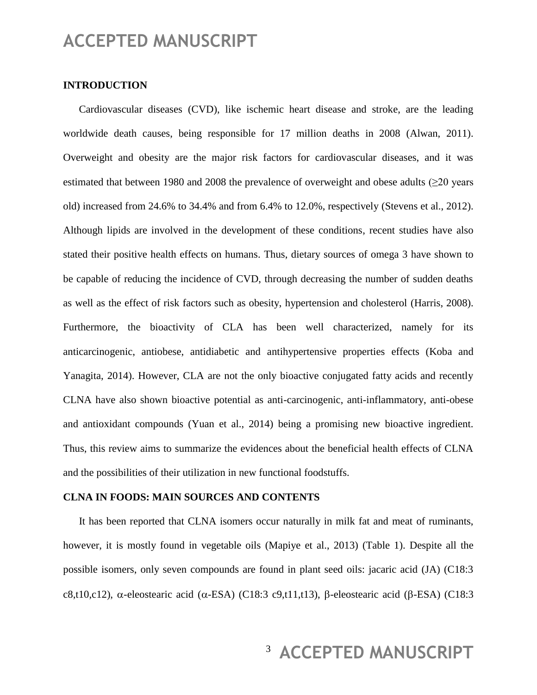#### **INTRODUCTION**

Cardiovascular diseases (CVD), like ischemic heart disease and stroke, are the leading worldwide death causes, being responsible for 17 million deaths in 2008 (Alwan, 2011). Overweight and obesity are the major risk factors for cardiovascular diseases, and it was estimated that between 1980 and 2008 the prevalence of overweight and obese adults ( $\geq$ 20 years old) increased from 24.6% to 34.4% and from 6.4% to 12.0%, respectively (Stevens et al., 2012). Although lipids are involved in the development of these conditions, recent studies have also stated their positive health effects on humans. Thus, dietary sources of omega 3 have shown to be capable of reducing the incidence of CVD, through decreasing the number of sudden deaths as well as the effect of risk factors such as obesity, hypertension and cholesterol (Harris, 2008). Furthermore, the bioactivity of CLA has been well characterized, namely for its anticarcinogenic, antiobese, antidiabetic and antihypertensive properties effects (Koba and Yanagita, 2014). However, CLA are not the only bioactive conjugated fatty acids and recently CLNA have also shown bioactive potential as anti-carcinogenic, anti-inflammatory, anti-obese and antioxidant compounds (Yuan et al., 2014) being a promising new bioactive ingredient. Thus, this review aims to summarize the evidences about the beneficial health effects of CLNA and the possibilities of their utilization in new functional foodstuffs.

#### **CLNA IN FOODS: MAIN SOURCES AND CONTENTS**

It has been reported that CLNA isomers occur naturally in milk fat and meat of ruminants, however, it is mostly found in vegetable oils (Mapiye et al., 2013) (Table 1). Despite all the possible isomers, only seven compounds are found in plant seed oils: jacaric acid (JA) (C18:3 c8,t10,c12),  $\alpha$ -eleostearic acid ( $\alpha$ -ESA) (C18:3 c9,t11,t13),  $\beta$ -eleostearic acid ( $\beta$ -ESA) (C18:3

# <sup>3</sup> ACCEPTED MANUSCRIPT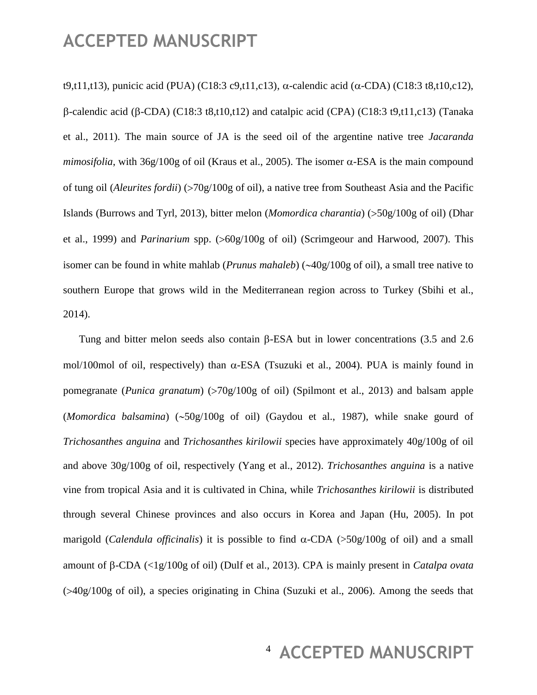t9,t11,t13), punicic acid (PUA) (C18:3 c9,t11,c13), α-calendic acid ( $\alpha$ -CDA) (C18:3 t8,t10,c12),  $\beta$ -calendic acid ( $\beta$ -CDA) (C18:3 t8,t10,t12) and catalpic acid (CPA) (C18:3 t9,t11,c13) (Tanaka et al., 2011). The main source of JA is the seed oil of the argentine native tree *Jacaranda mimosifolia*, with  $36g/100g$  of oil (Kraus et al., 2005). The isomer  $\alpha$ -ESA is the main compound of tung oil (*Aleurites fordii*) (70g/100g of oil), a native tree from Southeast Asia and the Pacific Islands (Burrows and Tyrl, 2013), bitter melon (*Momordica charantia*) (50g/100g of oil) (Dhar et al., 1999) and *Parinarium* spp. (>60g/100g of oil) (Scrimgeour and Harwood, 2007). This isomer can be found in white mahlab (*Prunus mahaleb*) ( $\sim$ 40g/100g of oil), a small tree native to southern Europe that grows wild in the Mediterranean region across to Turkey (Sbihi et al., 2014).

Tung and bitter melon seeds also contain  $\beta$ -ESA but in lower concentrations (3.5 and 2.6) mol/100mol of oil, respectively) than  $\alpha$ -ESA (Tsuzuki et al., 2004). PUA is mainly found in pomegranate (*Punica granatum*) (>70g/100g of oil) (Spilmont et al., 2013) and balsam apple  $(Momordica$  *balsamina*)  $(\sim 50g/100g$  of oil) (Gaydou et al., 1987), while snake gourd of *Trichosanthes anguina* and *Trichosanthes kirilowii* species have approximately 40g/100g of oil and above 30g/100g of oil, respectively (Yang et al., 2012). *Trichosanthes anguina* is a native vine from tropical Asia and it is cultivated in China, while *Trichosanthes kirilowii* is distributed through several Chinese provinces and also occurs in Korea and Japan (Hu, 2005). In pot marigold (*Calendula officinalis*) it is possible to find  $\alpha$ -CDA (>50g/100g of oil) and a small amount of β-CDA (<1g/100g of oil) (Dulf et al., 2013). CPA is mainly present in *Catalpa ovata*  $(0.40g/100g)$  of oil), a species originating in China (Suzuki et al., 2006). Among the seeds that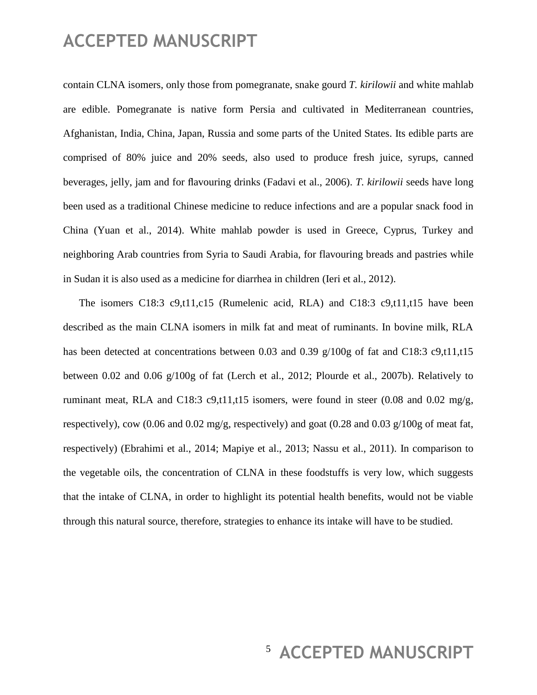contain CLNA isomers, only those from pomegranate, snake gourd *T. kirilowii* and white mahlab are edible. Pomegranate is native form Persia and cultivated in Mediterranean countries, Afghanistan, India, China, Japan, Russia and some parts of the United States. Its edible parts are comprised of 80% juice and 20% seeds, also used to produce fresh juice, syrups, canned beverages, jelly, jam and for flavouring drinks (Fadavi et al., 2006). *T. kirilowii* seeds have long been used as a traditional Chinese medicine to reduce infections and are a popular snack food in China (Yuan et al., 2014). White mahlab powder is used in Greece, Cyprus, Turkey and neighboring Arab countries from Syria to Saudi Arabia, for flavouring breads and pastries while in Sudan it is also used as a medicine for diarrhea in children (Ieri et al., 2012).

The isomers C18:3 c9,t11,c15 (Rumelenic acid, RLA) and C18:3 c9,t11,t15 have been described as the main CLNA isomers in milk fat and meat of ruminants. In bovine milk, RLA has been detected at concentrations between 0.03 and 0.39 g/100g of fat and C18:3 c9,t11,t15 between 0.02 and 0.06 g/100g of fat (Lerch et al., 2012; Plourde et al., 2007b). Relatively to ruminant meat, RLA and C18:3 c9,t11,t15 isomers, were found in steer  $(0.08$  and  $0.02$  mg/g, respectively), cow (0.06 and 0.02 mg/g, respectively) and goat (0.28 and 0.03 g/100g of meat fat, respectively) (Ebrahimi et al., 2014; Mapiye et al., 2013; Nassu et al., 2011). In comparison to the vegetable oils, the concentration of CLNA in these foodstuffs is very low, which suggests that the intake of CLNA, in order to highlight its potential health benefits, would not be viable through this natural source, therefore, strategies to enhance its intake will have to be studied.

### <sup>5</sup> ACCEPTED MANUSCRIPT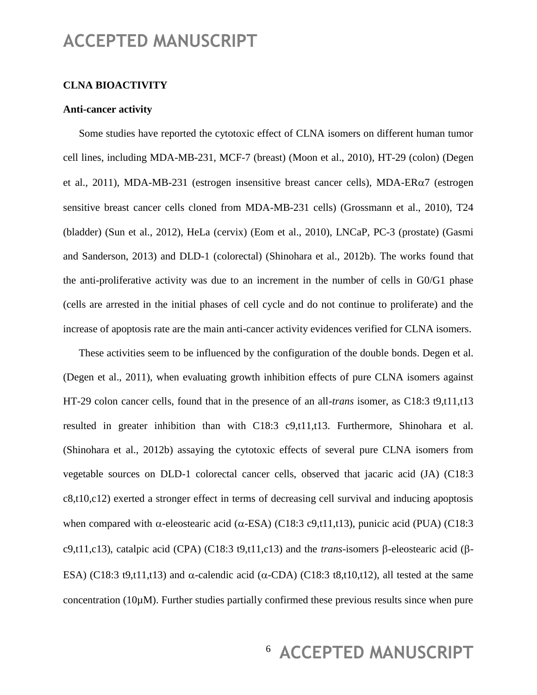#### **CLNA BIOACTIVITY**

#### **Anti-cancer activity**

Some studies have reported the cytotoxic effect of CLNA isomers on different human tumor cell lines, including MDA-MB-231, MCF-7 (breast) (Moon et al., 2010), HT-29 (colon) (Degen et al., 2011), MDA-MB-231 (estrogen insensitive breast cancer cells), MDA-ER $\alpha$ 7 (estrogen sensitive breast cancer cells cloned from MDA-MB-231 cells) (Grossmann et al., 2010), T24 (bladder) (Sun et al., 2012), HeLa (cervix) (Eom et al., 2010), LNCaP, PC-3 (prostate) (Gasmi and Sanderson, 2013) and DLD-1 (colorectal) (Shinohara et al., 2012b). The works found that the anti-proliferative activity was due to an increment in the number of cells in G0/G1 phase (cells are arrested in the initial phases of cell cycle and do not continue to proliferate) and the increase of apoptosis rate are the main anti-cancer activity evidences verified for CLNA isomers.

These activities seem to be influenced by the configuration of the double bonds. Degen et al. (Degen et al., 2011), when evaluating growth inhibition effects of pure CLNA isomers against HT-29 colon cancer cells, found that in the presence of an all-*trans* isomer, as C18:3 t9,t11,t13 resulted in greater inhibition than with C18:3 c9,t11,t13. Furthermore, Shinohara et al. (Shinohara et al., 2012b) assaying the cytotoxic effects of several pure CLNA isomers from vegetable sources on DLD-1 colorectal cancer cells, observed that jacaric acid (JA) (C18:3 c8,t10,c12) exerted a stronger effect in terms of decreasing cell survival and inducing apoptosis when compared with  $\alpha$ -eleostearic acid ( $\alpha$ -ESA) (C18:3 c9,t11,t13), punicic acid (PUA) (C18:3 c9,t11,c13), catalpic acid (CPA) (C18:3 t9,t11,c13) and the *trans*-isomers  $\beta$ -eleostearic acid ( $\beta$ -ESA) (C18:3 t9,t11,t13) and  $\alpha$ -calendic acid ( $\alpha$ -CDA) (C18:3 t8,t10,t12), all tested at the same concentration (10µM). Further studies partially confirmed these previous results since when pure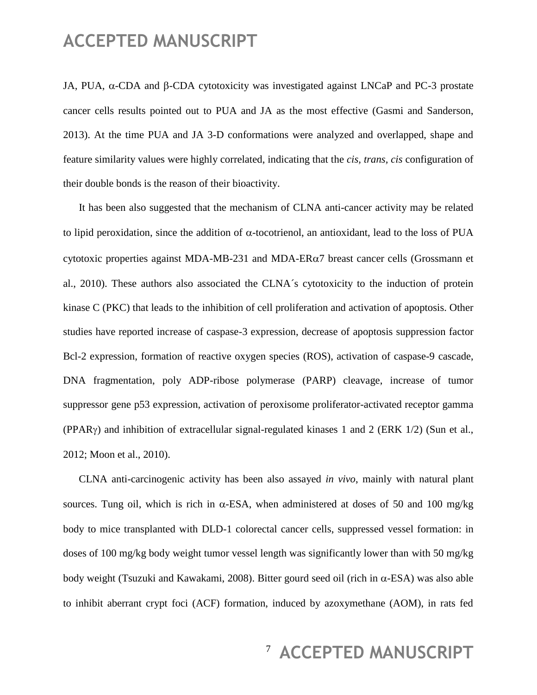JA, PUA,  $\alpha$ -CDA and  $\beta$ -CDA cytotoxicity was investigated against LNCaP and PC-3 prostate cancer cells results pointed out to PUA and JA as the most effective (Gasmi and Sanderson, 2013). At the time PUA and JA 3-D conformations were analyzed and overlapped, shape and feature similarity values were highly correlated, indicating that the *cis, trans, cis* configuration of their double bonds is the reason of their bioactivity.

It has been also suggested that the mechanism of CLNA anti-cancer activity may be related to lipid peroxidation, since the addition of  $\alpha$ -tocotrienol, an antioxidant, lead to the loss of PUA cytotoxic properties against MDA-MB-231 and MDA-ER $\alpha$ 7 breast cancer cells (Grossmann et al., 2010). These authors also associated the CLNA´s cytotoxicity to the induction of protein kinase C (PKC) that leads to the inhibition of cell proliferation and activation of apoptosis. Other studies have reported increase of caspase-3 expression, decrease of apoptosis suppression factor Bcl-2 expression, formation of reactive oxygen species (ROS), activation of caspase-9 cascade, DNA fragmentation, poly ADP-ribose polymerase (PARP) cleavage, increase of tumor suppressor gene p53 expression, activation of peroxisome proliferator-activated receptor gamma (PPAR $\gamma$ ) and inhibition of extracellular signal-regulated kinases 1 and 2 (ERK 1/2) (Sun et al., 2012; Moon et al., 2010).

CLNA anti-carcinogenic activity has been also assayed *in vivo*, mainly with natural plant sources. Tung oil, which is rich in  $\alpha$ -ESA, when administered at doses of 50 and 100 mg/kg body to mice transplanted with DLD-1 colorectal cancer cells, suppressed vessel formation: in doses of 100 mg/kg body weight tumor vessel length was significantly lower than with 50 mg/kg body weight (Tsuzuki and Kawakami, 2008). Bitter gourd seed oil (rich in  $\alpha$ -ESA) was also able to inhibit aberrant crypt foci (ACF) formation, induced by azoxymethane (AOM), in rats fed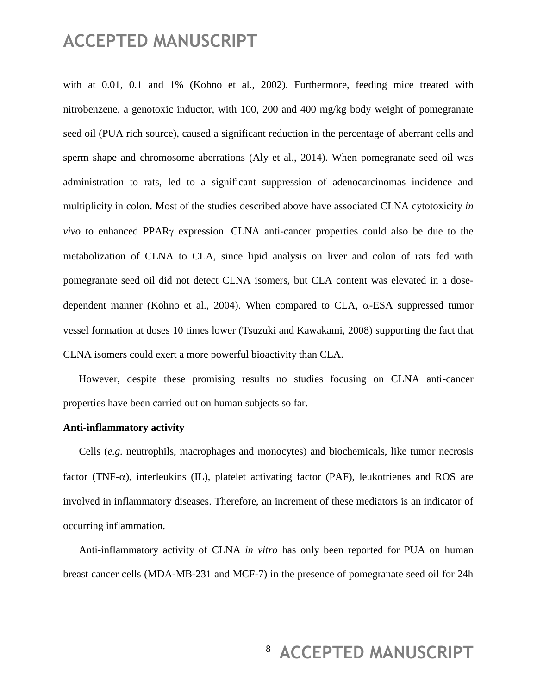with at 0.01, 0.1 and 1% (Kohno et al., 2002). Furthermore, feeding mice treated with nitrobenzene, a genotoxic inductor, with 100, 200 and 400 mg/kg body weight of pomegranate seed oil (PUA rich source), caused a significant reduction in the percentage of aberrant cells and sperm shape and chromosome aberrations (Aly et al., 2014). When pomegranate seed oil was administration to rats, led to a significant suppression of adenocarcinomas incidence and multiplicity in colon. Most of the studies described above have associated CLNA cytotoxicity *in vivo* to enhanced PPAR $\gamma$  expression. CLNA anti-cancer properties could also be due to the metabolization of CLNA to CLA, since lipid analysis on liver and colon of rats fed with pomegranate seed oil did not detect CLNA isomers, but CLA content was elevated in a dosedependent manner (Kohno et al., 2004). When compared to CLA,  $\alpha$ -ESA suppressed tumor vessel formation at doses 10 times lower (Tsuzuki and Kawakami, 2008) supporting the fact that CLNA isomers could exert a more powerful bioactivity than CLA.

However, despite these promising results no studies focusing on CLNA anti-cancer properties have been carried out on human subjects so far.

#### **Anti-inflammatory activity**

Cells (*e.g.* neutrophils, macrophages and monocytes) and biochemicals, like tumor necrosis factor (TNF- $\alpha$ ), interleukins (IL), platelet activating factor (PAF), leukotrienes and ROS are involved in inflammatory diseases. Therefore, an increment of these mediators is an indicator of occurring inflammation.

Anti-inflammatory activity of CLNA *in vitro* has only been reported for PUA on human breast cancer cells (MDA-MB-231 and MCF-7) in the presence of pomegranate seed oil for 24h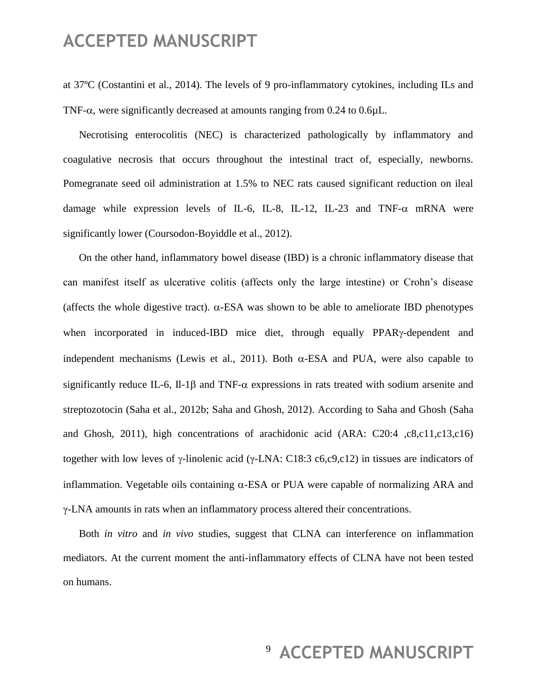at 37ºC (Costantini et al., 2014). The levels of 9 pro-inflammatory cytokines, including ILs and TNF- $\alpha$ , were significantly decreased at amounts ranging from 0.24 to 0.6 $\mu$ L.

Necrotising enterocolitis (NEC) is characterized pathologically by inflammatory and coagulative necrosis that occurs throughout the intestinal tract of, especially, newborns. Pomegranate seed oil administration at 1.5% to NEC rats caused significant reduction on ileal damage while expression levels of IL-6, IL-8, IL-12, IL-23 and TNF- $\alpha$  mRNA were significantly lower (Coursodon-Boyiddle et al., 2012).

On the other hand, inflammatory bowel disease (IBD) is a chronic inflammatory disease that can manifest itself as ulcerative colitis (affects only the large intestine) or Crohn's disease (affects the whole digestive tract).  $\alpha$ -ESA was shown to be able to ameliorate IBD phenotypes when incorporated in induced-IBD mice diet, through equally PPAR $\gamma$ -dependent and independent mechanisms (Lewis et al., 2011). Both  $\alpha$ -ESA and PUA, were also capable to significantly reduce IL-6, Il-1 $\beta$  and TNF- $\alpha$  expressions in rats treated with sodium arsenite and streptozotocin (Saha et al., 2012b; Saha and Ghosh, 2012). According to Saha and Ghosh (Saha and Ghosh, 2011), high concentrations of arachidonic acid (ARA: C20:4 ,c8,c11,c13,c16) together with low leves of γ-linolenic acid (γ-LNA: C18:3 c6,c9,c12) in tissues are indicators of inflammation. Vegetable oils containing  $\alpha$ -ESA or PUA were capable of normalizing ARA and γ-LNA amounts in rats when an inflammatory process altered their concentrations.

Both *in vitro* and *in vivo* studies, suggest that CLNA can interference on inflammation mediators. At the current moment the anti-inflammatory effects of CLNA have not been tested on humans.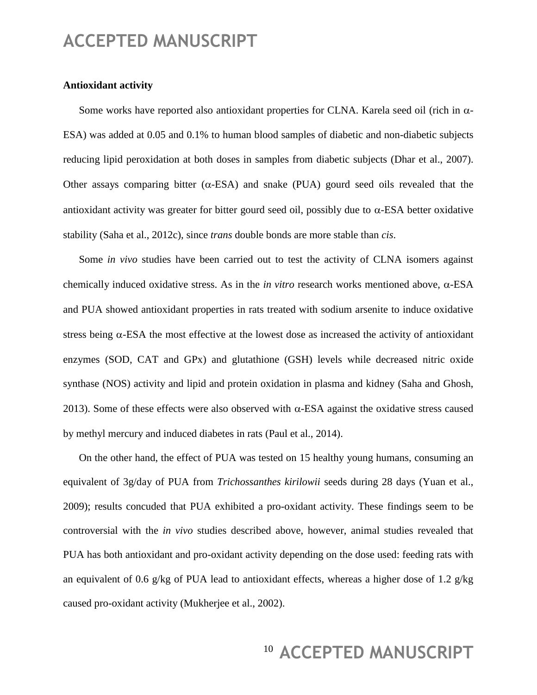#### **Antioxidant activity**

Some works have reported also antioxidant properties for CLNA. Karela seed oil (rich in  $\alpha$ -ESA) was added at 0.05 and 0.1% to human blood samples of diabetic and non-diabetic subjects reducing lipid peroxidation at both doses in samples from diabetic subjects (Dhar et al., 2007). Other assays comparing bitter  $(\alpha$ -ESA) and snake (PUA) gourd seed oils revealed that the antioxidant activity was greater for bitter gourd seed oil, possibly due to  $\alpha$ -ESA better oxidative stability (Saha et al., 2012c), since *trans* double bonds are more stable than *cis*.

Some *in vivo* studies have been carried out to test the activity of CLNA isomers against chemically induced oxidative stress. As in the *in vitro* research works mentioned above,  $\alpha$ -ESA and PUA showed antioxidant properties in rats treated with sodium arsenite to induce oxidative stress being  $\alpha$ -ESA the most effective at the lowest dose as increased the activity of antioxidant enzymes (SOD, CAT and GPx) and glutathione (GSH) levels while decreased nitric oxide synthase (NOS) activity and lipid and protein oxidation in plasma and kidney (Saha and Ghosh, 2013). Some of these effects were also observed with  $\alpha$ -ESA against the oxidative stress caused by methyl mercury and induced diabetes in rats (Paul et al., 2014).

On the other hand, the effect of PUA was tested on 15 healthy young humans, consuming an equivalent of 3g/day of PUA from *Trichossanthes kirilowii* seeds during 28 days (Yuan et al., 2009); results concuded that PUA exhibited a pro-oxidant activity. These findings seem to be controversial with the *in vivo* studies described above, however, animal studies revealed that PUA has both antioxidant and pro-oxidant activity depending on the dose used: feeding rats with an equivalent of 0.6 g/kg of PUA lead to antioxidant effects, whereas a higher dose of 1.2 g/kg caused pro-oxidant activity (Mukherjee et al., 2002).

# <sup>10</sup> ACCEPTED MANUSCRIPT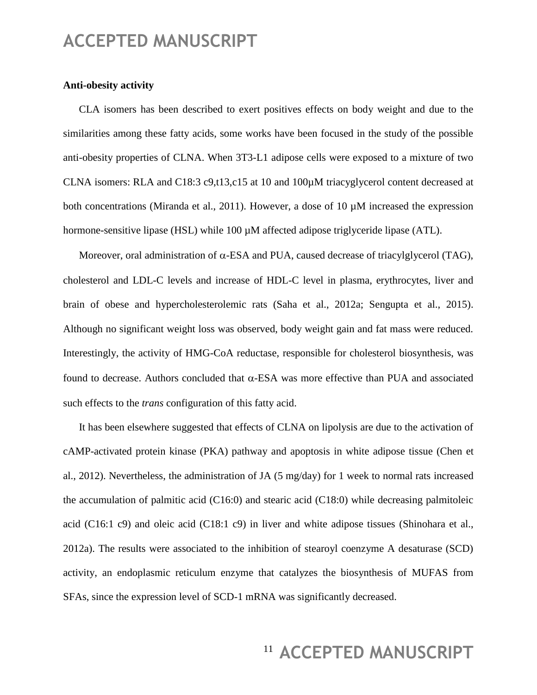#### **Anti-obesity activity**

CLA isomers has been described to exert positives effects on body weight and due to the similarities among these fatty acids, some works have been focused in the study of the possible anti-obesity properties of CLNA. When 3T3-L1 adipose cells were exposed to a mixture of two CLNA isomers: RLA and C18:3 c9,t13,c15 at 10 and 100µM triacyglycerol content decreased at both concentrations (Miranda et al., 2011). However, a dose of 10 µM increased the expression hormone-sensitive lipase (HSL) while 100  $\mu$ M affected adipose triglyceride lipase (ATL).

Moreover, oral administration of  $\alpha$ -ESA and PUA, caused decrease of triacylglycerol (TAG), cholesterol and LDL-C levels and increase of HDL-C level in plasma, erythrocytes, liver and brain of obese and hypercholesterolemic rats (Saha et al., 2012a; Sengupta et al., 2015). Although no significant weight loss was observed, body weight gain and fat mass were reduced. Interestingly, the activity of HMG-CoA reductase, responsible for cholesterol biosynthesis, was found to decrease. Authors concluded that  $\alpha$ -ESA was more effective than PUA and associated such effects to the *trans* configuration of this fatty acid.

It has been elsewhere suggested that effects of CLNA on lipolysis are due to the activation of cAMP-activated protein kinase (PKA) pathway and apoptosis in white adipose tissue (Chen et al., 2012). Nevertheless, the administration of JA (5 mg/day) for 1 week to normal rats increased the accumulation of palmitic acid (C16:0) and stearic acid (C18:0) while decreasing palmitoleic acid (C16:1 c9) and oleic acid (C18:1 c9) in liver and white adipose tissues (Shinohara et al., 2012a). The results were associated to the inhibition of stearoyl coenzyme A desaturase (SCD) activity, an endoplasmic reticulum enzyme that catalyzes the biosynthesis of MUFAS from SFAs, since the expression level of SCD-1 mRNA was significantly decreased.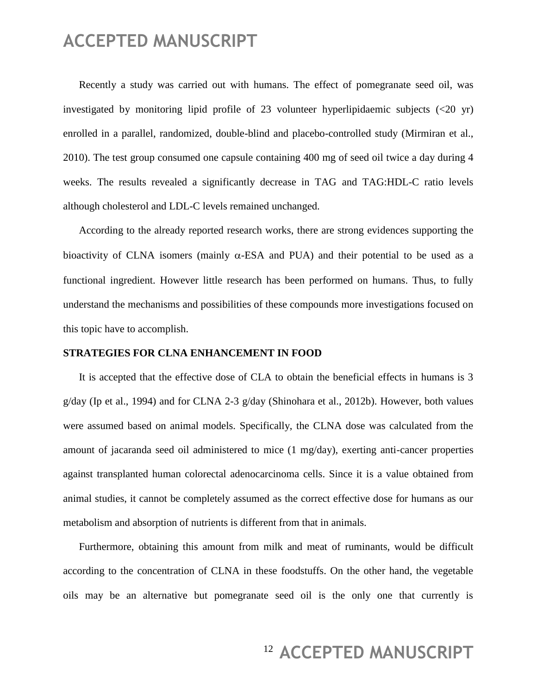Recently a study was carried out with humans. The effect of pomegranate seed oil, was investigated by monitoring lipid profile of 23 volunteer hyperlipidaemic subjects (<20 yr) enrolled in a parallel, randomized, double-blind and placebo-controlled study (Mirmiran et al., 2010). The test group consumed one capsule containing 400 mg of seed oil twice a day during 4 weeks. The results revealed a significantly decrease in TAG and TAG:HDL-C ratio levels although cholesterol and LDL-C levels remained unchanged.

According to the already reported research works, there are strong evidences supporting the bioactivity of CLNA isomers (mainly  $\alpha$ -ESA and PUA) and their potential to be used as a functional ingredient. However little research has been performed on humans. Thus, to fully understand the mechanisms and possibilities of these compounds more investigations focused on this topic have to accomplish.

#### **STRATEGIES FOR CLNA ENHANCEMENT IN FOOD**

It is accepted that the effective dose of CLA to obtain the beneficial effects in humans is 3 g/day (Ip et al., 1994) and for CLNA 2-3 g/day (Shinohara et al., 2012b). However, both values were assumed based on animal models. Specifically, the CLNA dose was calculated from the amount of jacaranda seed oil administered to mice (1 mg/day), exerting anti-cancer properties against transplanted human colorectal adenocarcinoma cells. Since it is a value obtained from animal studies, it cannot be completely assumed as the correct effective dose for humans as our metabolism and absorption of nutrients is different from that in animals.

Furthermore, obtaining this amount from milk and meat of ruminants, would be difficult according to the concentration of CLNA in these foodstuffs. On the other hand, the vegetable oils may be an alternative but pomegranate seed oil is the only one that currently is

### <sup>12</sup> ACCEPTED MANUSCRIPT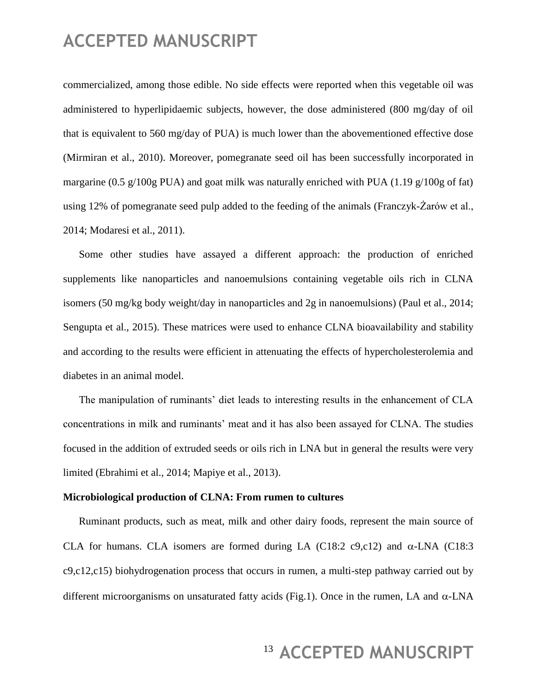commercialized, among those edible. No side effects were reported when this vegetable oil was administered to hyperlipidaemic subjects, however, the dose administered (800 mg/day of oil that is equivalent to 560 mg/day of PUA) is much lower than the abovementioned effective dose (Mirmiran et al., 2010). Moreover, pomegranate seed oil has been successfully incorporated in margarine (0.5 g/100g PUA) and goat milk was naturally enriched with PUA (1.19 g/100g of fat) using 12% of pomegranate seed pulp added to the feeding of the animals (Franczyk-Żarów et al., 2014; Modaresi et al., 2011).

Some other studies have assayed a different approach: the production of enriched supplements like nanoparticles and nanoemulsions containing vegetable oils rich in CLNA isomers (50 mg/kg body weight/day in nanoparticles and 2g in nanoemulsions) (Paul et al., 2014; Sengupta et al., 2015). These matrices were used to enhance CLNA bioavailability and stability and according to the results were efficient in attenuating the effects of hypercholesterolemia and diabetes in an animal model.

The manipulation of ruminants' diet leads to interesting results in the enhancement of CLA concentrations in milk and ruminants' meat and it has also been assayed for CLNA. The studies focused in the addition of extruded seeds or oils rich in LNA but in general the results were very limited (Ebrahimi et al., 2014; Mapiye et al., 2013).

#### **Microbiological production of CLNA: From rumen to cultures**

Ruminant products, such as meat, milk and other dairy foods, represent the main source of CLA for humans. CLA isomers are formed during LA (C18:2 c9,c12) and  $\alpha$ -LNA (C18:3 c9,c12,c15) biohydrogenation process that occurs in rumen, a multi-step pathway carried out by different microorganisms on unsaturated fatty acids (Fig.1). Once in the rumen, LA and  $\alpha$ -LNA

# <sup>13</sup> ACCEPTED MANUSCRIPT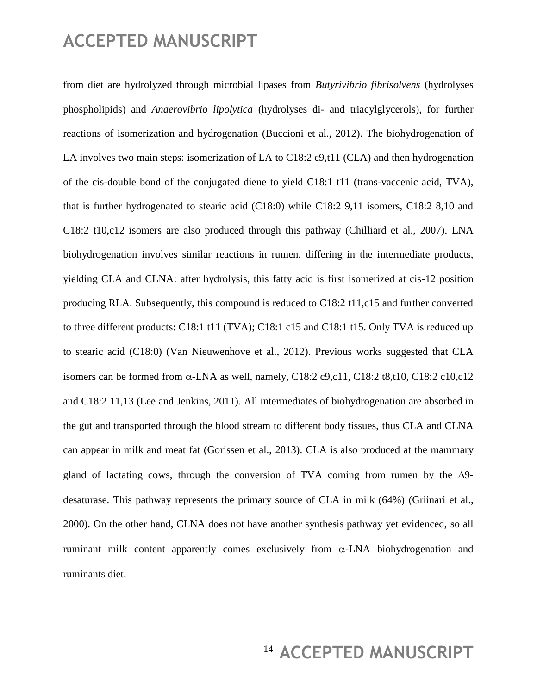from diet are hydrolyzed through microbial lipases from *Butyrivibrio fibrisolvens* (hydrolyses phospholipids) and *Anaerovibrio lipolytica* (hydrolyses di- and triacylglycerols), for further reactions of isomerization and hydrogenation (Buccioni et al., 2012). The biohydrogenation of LA involves two main steps: isomerization of LA to C18:2 c9,t11 (CLA) and then hydrogenation of the cis-double bond of the conjugated diene to yield C18:1 t11 (trans-vaccenic acid, TVA), that is further hydrogenated to stearic acid (C18:0) while C18:2 9,11 isomers, C18:2 8,10 and C18:2 t10,c12 isomers are also produced through this pathway (Chilliard et al., 2007). LNA biohydrogenation involves similar reactions in rumen, differing in the intermediate products, yielding CLA and CLNA: after hydrolysis, this fatty acid is first isomerized at cis-12 position producing RLA. Subsequently, this compound is reduced to C18:2 t11,c15 and further converted to three different products: C18:1 t11 (TVA); C18:1 c15 and C18:1 t15. Only TVA is reduced up to stearic acid (C18:0) (Van Nieuwenhove et al., 2012). Previous works suggested that CLA isomers can be formed from  $\alpha$ -LNA as well, namely, C18:2 c9,c11, C18:2 t8,t10, C18:2 c10,c12 and C18:2 11,13 (Lee and Jenkins, 2011). All intermediates of biohydrogenation are absorbed in the gut and transported through the blood stream to different body tissues, thus CLA and CLNA can appear in milk and meat fat (Gorissen et al., 2013). CLA is also produced at the mammary gland of lactating cows, through the conversion of TVA coming from rumen by the  $\Delta$ 9desaturase. This pathway represents the primary source of CLA in milk (64%) (Griinari et al., 2000). On the other hand, CLNA does not have another synthesis pathway yet evidenced, so all ruminant milk content apparently comes exclusively from  $\alpha$ -LNA biohydrogenation and ruminants diet.

# <sup>14</sup> ACCEPTED MANUSCRIPT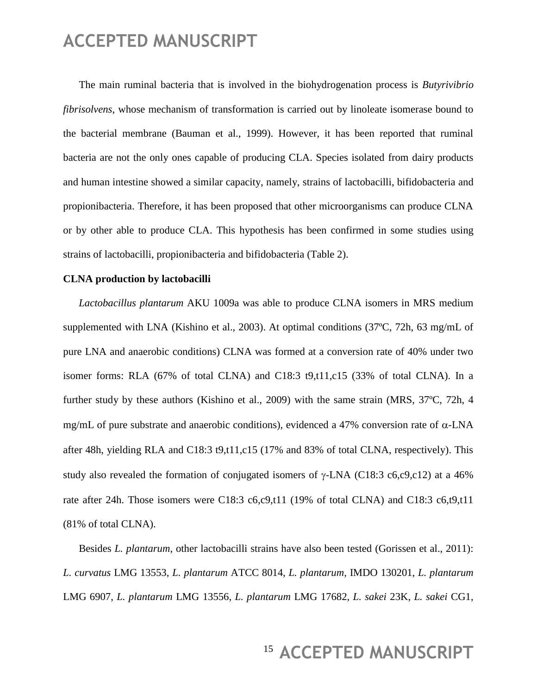The main ruminal bacteria that is involved in the biohydrogenation process is *Butyrivibrio fibrisolvens*, whose mechanism of transformation is carried out by linoleate isomerase bound to the bacterial membrane (Bauman et al., 1999). However, it has been reported that ruminal bacteria are not the only ones capable of producing CLA. Species isolated from dairy products and human intestine showed a similar capacity, namely, strains of lactobacilli, bifidobacteria and propionibacteria. Therefore, it has been proposed that other microorganisms can produce CLNA or by other able to produce CLA. This hypothesis has been confirmed in some studies using strains of lactobacilli, propionibacteria and bifidobacteria (Table 2).

#### **CLNA production by lactobacilli**

*Lactobacillus plantarum* AKU 1009a was able to produce CLNA isomers in MRS medium supplemented with LNA (Kishino et al., 2003). At optimal conditions (37ºC, 72h, 63 mg/mL of pure LNA and anaerobic conditions) CLNA was formed at a conversion rate of 40% under two isomer forms: RLA (67% of total CLNA) and C18:3 t9,t11,c15 (33% of total CLNA). In a further study by these authors (Kishino et al., 2009) with the same strain (MRS, 37ºC, 72h, 4 mg/mL of pure substrate and anaerobic conditions), evidenced a 47% conversion rate of  $\alpha$ -LNA after 48h, yielding RLA and C18:3 t9,t11,c15 (17% and 83% of total CLNA, respectively). This study also revealed the formation of conjugated isomers of  $\gamma$ -LNA (C18:3 c6,c9,c12) at a 46% rate after 24h. Those isomers were C18:3 c6,c9,t11 (19% of total CLNA) and C18:3 c6,t9,t11 (81% of total CLNA).

Besides *L. plantarum*, other lactobacilli strains have also been tested (Gorissen et al., 2011): *L. curvatus* LMG 13553, *L. plantarum* ATCC 8014, *L. plantarum*, IMDO 130201, *L. plantarum* LMG 6907, *L. plantarum* LMG 13556, *L. plantarum* LMG 17682, *L. sakei* 23K, *L. sakei* CG1,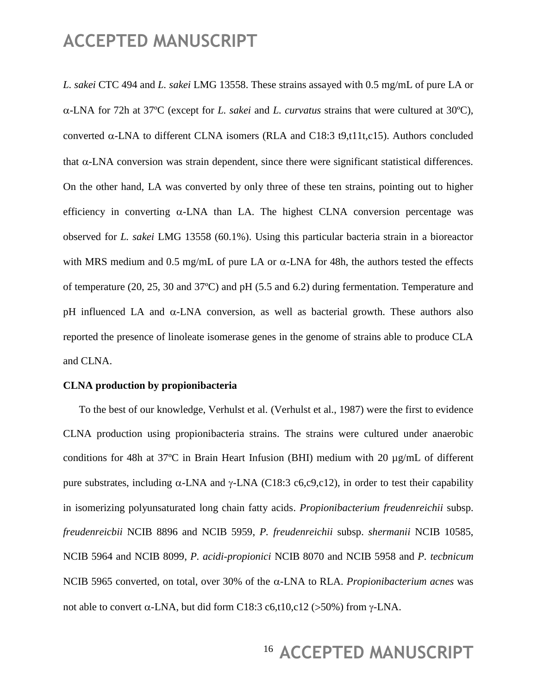*L. sakei* CTC 494 and *L. sakei* LMG 13558. These strains assayed with 0.5 mg/mL of pure LA or -LNA for 72h at 37ºC (except for *L. sakei* and *L. curvatus* strains that were cultured at 30ºC), converted  $\alpha$ -LNA to different CLNA isomers (RLA and C18:3 t9,t11t,c15). Authors concluded that  $\alpha$ -LNA conversion was strain dependent, since there were significant statistical differences. On the other hand, LA was converted by only three of these ten strains, pointing out to higher efficiency in converting  $\alpha$ -LNA than LA. The highest CLNA conversion percentage was observed for *L. sakei* LMG 13558 (60.1%). Using this particular bacteria strain in a bioreactor with MRS medium and 0.5 mg/mL of pure LA or  $\alpha$ -LNA for 48h, the authors tested the effects of temperature (20, 25, 30 and 37ºC) and pH (5.5 and 6.2) during fermentation. Temperature and pH influenced LA and  $\alpha$ -LNA conversion, as well as bacterial growth. These authors also reported the presence of linoleate isomerase genes in the genome of strains able to produce CLA and CLNA.

#### **CLNA production by propionibacteria**

To the best of our knowledge, Verhulst et al. (Verhulst et al., 1987) were the first to evidence CLNA production using propionibacteria strains. The strains were cultured under anaerobic conditions for 48h at 37ºC in Brain Heart Infusion (BHI) medium with 20 µg/mL of different pure substrates, including  $\alpha$ -LNA and  $\gamma$ -LNA (C18:3 c6,c9,c12), in order to test their capability in isomerizing polyunsaturated long chain fatty acids. *Propionibacterium freudenreichii* subsp. *freudenreicbii* NCIB 8896 and NCIB 5959, *P. freudenreichii* subsp. *shermanii* NCIB 10585, NCIB 5964 and NCIB 8099, *P. acidi-propionici* NCIB 8070 and NCIB 5958 and *P. tecbnicum* NCIB 5965 converted, on total, over 30% of the α-LNA to RLA. *Propionibacterium acnes* was not able to convert  $\alpha$ -LNA, but did form C18:3 c6,t10,c12 (>50%) from  $\gamma$ -LNA.

### <sup>16</sup> ACCEPTED MANUSCRIPT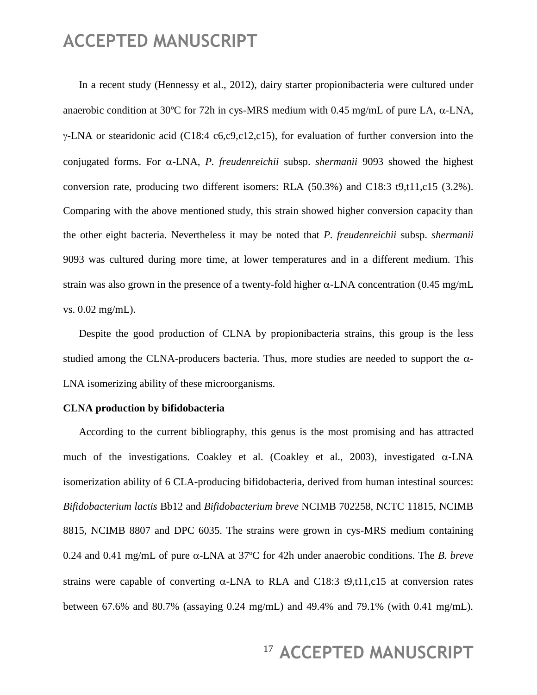In a recent study (Hennessy et al., 2012), dairy starter propionibacteria were cultured under anaerobic condition at 30°C for 72h in cys-MRS medium with 0.45 mg/mL of pure LA,  $\alpha$ -LNA,  $\gamma$ -LNA or stearidonic acid (C18:4 c6,c9,c12,c15), for evaluation of further conversion into the conjugated forms. For  $\alpha$ -LNA, *P. freudenreichii* subsp. *shermanii* 9093 showed the highest conversion rate, producing two different isomers: RLA (50.3%) and C18:3 t9,t11,c15 (3.2%). Comparing with the above mentioned study, this strain showed higher conversion capacity than the other eight bacteria. Nevertheless it may be noted that *P. freudenreichii* subsp. *shermanii* 9093 was cultured during more time, at lower temperatures and in a different medium. This strain was also grown in the presence of a twenty-fold higher  $\alpha$ -LNA concentration (0.45 mg/mL) vs. 0.02 mg/mL).

Despite the good production of CLNA by propionibacteria strains, this group is the less studied among the CLNA-producers bacteria. Thus, more studies are needed to support the  $\alpha$ -LNA isomerizing ability of these microorganisms.

#### **CLNA production by bifidobacteria**

According to the current bibliography, this genus is the most promising and has attracted much of the investigations. Coakley et al. (Coakley et al., 2003), investigated  $\alpha$ -LNA isomerization ability of 6 CLA-producing bifidobacteria, derived from human intestinal sources: *Bifidobacterium lactis* Bb12 and *Bifidobacterium breve* NCIMB 702258, NCTC 11815, NCIMB 8815, NCIMB 8807 and DPC 6035. The strains were grown in cys-MRS medium containing 0.24 and 0.41 mg/mL of pure  $\alpha$ -LNA at 37<sup>o</sup>C for 42h under anaerobic conditions. The *B. breve* strains were capable of converting  $\alpha$ -LNA to RLA and C18:3 t9,t11,c15 at conversion rates between 67.6% and 80.7% (assaying 0.24 mg/mL) and 49.4% and 79.1% (with 0.41 mg/mL).

### <sup>17</sup> ACCEPTED MANUSCRIPT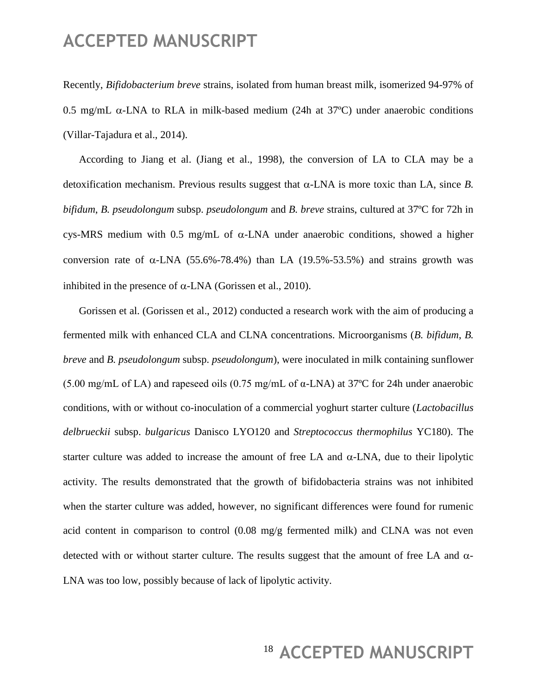Recently, *Bifidobacterium breve* strains, isolated from human breast milk, isomerized 94-97% of 0.5 mg/mL  $\alpha$ -LNA to RLA in milk-based medium (24h at 37°C) under anaerobic conditions (Villar-Tajadura et al., 2014).

According to Jiang et al. (Jiang et al., 1998), the conversion of LA to CLA may be a detoxification mechanism. Previous results suggest that  $\alpha$ -LNA is more toxic than LA, since *B*. *bifidum*, *B. pseudolongum* subsp. *pseudolongum* and *B. breve* strains, cultured at 37ºC for 72h in cys-MRS medium with 0.5 mg/mL of  $\alpha$ -LNA under anaerobic conditions, showed a higher conversion rate of  $\alpha$ -LNA (55.6%-78.4%) than LA (19.5%-53.5%) and strains growth was inhibited in the presence of  $\alpha$ -LNA (Gorissen et al., 2010).

Gorissen et al. (Gorissen et al., 2012) conducted a research work with the aim of producing a fermented milk with enhanced CLA and CLNA concentrations. Microorganisms (*B. bifidum*, *B. breve* and *B. pseudolongum* subsp. *pseudolongum*), were inoculated in milk containing sunflower (5.00 mg/mL of LA) and rapeseed oils (0.75 mg/mL of  $\alpha$ -LNA) at 37°C for 24h under anaerobic conditions, with or without co-inoculation of a commercial yoghurt starter culture (*Lactobacillus delbrueckii* subsp. *bulgaricus* Danisco LYO120 and *Streptococcus thermophilus* YC180). The starter culture was added to increase the amount of free LA and  $\alpha$ -LNA, due to their lipolytic activity. The results demonstrated that the growth of bifidobacteria strains was not inhibited when the starter culture was added, however, no significant differences were found for rumenic acid content in comparison to control (0.08 mg/g fermented milk) and CLNA was not even detected with or without starter culture. The results suggest that the amount of free LA and  $\alpha$ -LNA was too low, possibly because of lack of lipolytic activity.

# <sup>18</sup> ACCEPTED MANUSCRIPT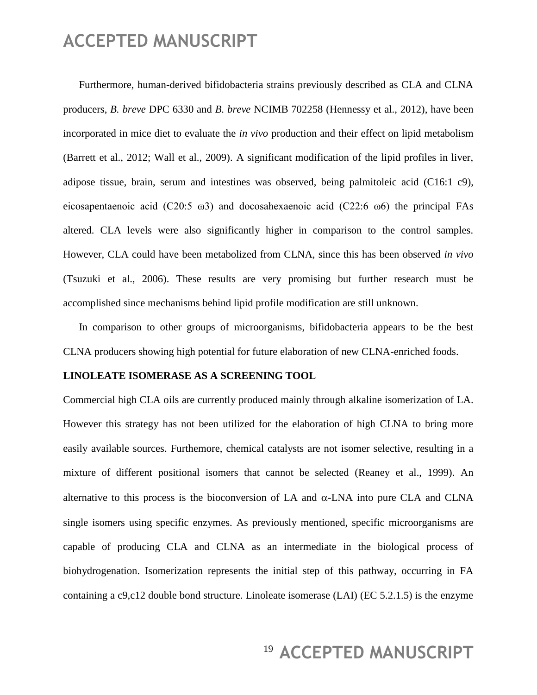Furthermore, human-derived bifidobacteria strains previously described as CLA and CLNA producers, *B. breve* DPC 6330 and *B. breve* NCIMB 702258 (Hennessy et al., 2012), have been incorporated in mice diet to evaluate the *in vivo* production and their effect on lipid metabolism (Barrett et al., 2012; Wall et al., 2009). A significant modification of the lipid profiles in liver, adipose tissue, brain, serum and intestines was observed, being palmitoleic acid (C16:1 c9), eicosapentaenoic acid (C20:5  $\omega$ 3) and docosahexaenoic acid (C22:6  $\omega$ 6) the principal FAs altered. CLA levels were also significantly higher in comparison to the control samples. However, CLA could have been metabolized from CLNA, since this has been observed *in vivo* (Tsuzuki et al., 2006). These results are very promising but further research must be accomplished since mechanisms behind lipid profile modification are still unknown.

In comparison to other groups of microorganisms, bifidobacteria appears to be the best CLNA producers showing high potential for future elaboration of new CLNA-enriched foods.

#### **LINOLEATE ISOMERASE AS A SCREENING TOOL**

Commercial high CLA oils are currently produced mainly through alkaline isomerization of LA. However this strategy has not been utilized for the elaboration of high CLNA to bring more easily available sources. Furthemore, chemical catalysts are not isomer selective, resulting in a mixture of different positional isomers that cannot be selected (Reaney et al., 1999). An alternative to this process is the bioconversion of LA and  $\alpha$ -LNA into pure CLA and CLNA single isomers using specific enzymes. As previously mentioned, specific microorganisms are capable of producing CLA and CLNA as an intermediate in the biological process of biohydrogenation. Isomerization represents the initial step of this pathway, occurring in FA containing a c9,c12 double bond structure. Linoleate isomerase (LAI) (EC 5.2.1.5) is the enzyme

### <sup>19</sup> ACCEPTED MANUSCRIPT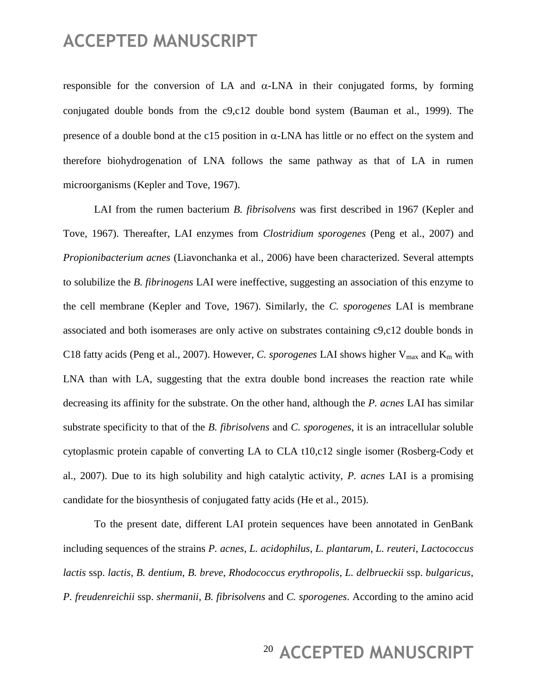responsible for the conversion of LA and  $\alpha$ -LNA in their conjugated forms, by forming conjugated double bonds from the c9,c12 double bond system (Bauman et al., 1999). The presence of a double bond at the c15 position in  $\alpha$ -LNA has little or no effect on the system and therefore biohydrogenation of LNA follows the same pathway as that of LA in rumen microorganisms (Kepler and Tove, 1967).

LAI from the rumen bacterium *B. fibrisolvens* was first described in 1967 (Kepler and Tove, 1967). Thereafter, LAI enzymes from *Clostridium sporogenes* (Peng et al., 2007) and *Propionibacterium acnes* (Liavonchanka et al., 2006) have been characterized. Several attempts to solubilize the *B. fibrinogens* LAI were ineffective, suggesting an association of this enzyme to the cell membrane (Kepler and Tove, 1967). Similarly, the *C. sporogenes* LAI is membrane associated and both isomerases are only active on substrates containing c9,c12 double bonds in C18 fatty acids (Peng et al., 2007). However, *C. sporogenes* LAI shows higher  $V_{\text{max}}$  and  $K_{\text{m}}$  with LNA than with LA, suggesting that the extra double bond increases the reaction rate while decreasing its affinity for the substrate. On the other hand, although the *P. acnes* LAI has similar substrate specificity to that of the *B. fibrisolvens* and *C. sporogenes*, it is an intracellular soluble cytoplasmic protein capable of converting LA to CLA t10,c12 single isomer (Rosberg-Cody et al., 2007). Due to its high solubility and high catalytic activity, *P. acnes* LAI is a promising candidate for the biosynthesis of conjugated fatty acids (He et al., 2015).

To the present date, different LAI protein sequences have been annotated in GenBank including sequences of the strains *P. acnes*, *L. acidophilus*, *L. plantarum*, *L. reuteri*, *Lactococcus lactis* ssp. *lactis*, *B. dentium*, *B. breve*, *Rhodococcus erythropolis*, *L. delbrueckii* ssp. *bulgaricus*, *P. freudenreichii* ssp. *shermanii*, *B. fibrisolvens* and *C. sporogenes*. According to the amino acid

### <sup>20</sup> ACCEPTED MANUSCRIPT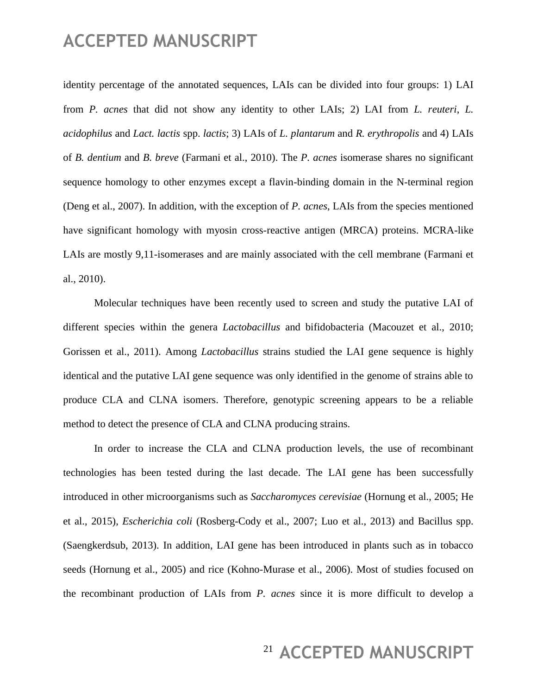identity percentage of the annotated sequences, LAIs can be divided into four groups: 1) LAI from *P. acnes* that did not show any identity to other LAIs; 2) LAI from *L. reuteri*, *L. acidophilus* and *Lact. lactis* spp. *lactis*; 3) LAIs of *L. plantarum* and *R. erythropolis* and 4) LAIs of *B. dentium* and *B. breve* (Farmani et al., 2010). The *P. acnes* isomerase shares no significant sequence homology to other enzymes except a flavin-binding domain in the N-terminal region (Deng et al., 2007). In addition, with the exception of *P. acnes*, LAIs from the species mentioned have significant homology with myosin cross-reactive antigen (MRCA) proteins. MCRA-like LAIs are mostly 9,11-isomerases and are mainly associated with the cell membrane (Farmani et al., 2010).

Molecular techniques have been recently used to screen and study the putative LAI of different species within the genera *Lactobacillus* and bifidobacteria (Macouzet et al., 2010; Gorissen et al., 2011). Among *Lactobacillus* strains studied the LAI gene sequence is highly identical and the putative LAI gene sequence was only identified in the genome of strains able to produce CLA and CLNA isomers. Therefore, genotypic screening appears to be a reliable method to detect the presence of CLA and CLNA producing strains.

In order to increase the CLA and CLNA production levels, the use of recombinant technologies has been tested during the last decade. The LAI gene has been successfully introduced in other microorganisms such as *Saccharomyces cerevisiae* (Hornung et al., 2005; He et al., 2015), *Escherichia coli* (Rosberg-Cody et al., 2007; Luo et al., 2013) and Bacillus spp. (Saengkerdsub, 2013). In addition, LAI gene has been introduced in plants such as in tobacco seeds (Hornung et al., 2005) and rice (Kohno-Murase et al., 2006). Most of studies focused on the recombinant production of LAIs from *P. acnes* since it is more difficult to develop a

### <sup>21</sup> ACCEPTED MANUSCRIPT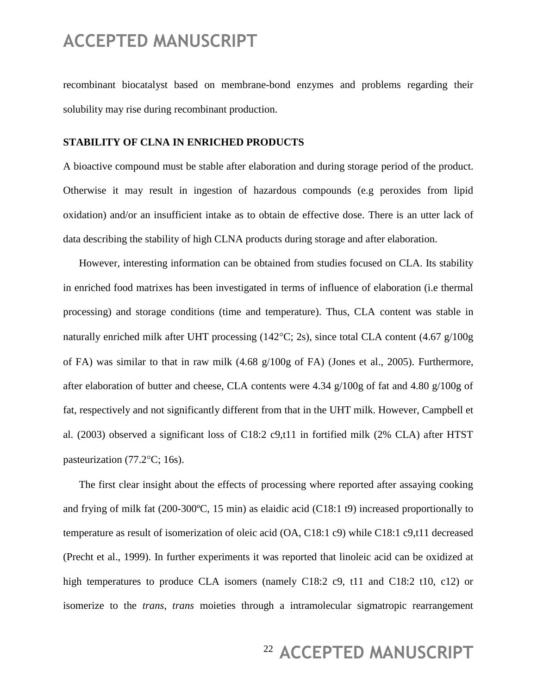recombinant biocatalyst based on membrane-bond enzymes and problems regarding their solubility may rise during recombinant production.

#### **STABILITY OF CLNA IN ENRICHED PRODUCTS**

A bioactive compound must be stable after elaboration and during storage period of the product. Otherwise it may result in ingestion of hazardous compounds (e.g peroxides from lipid oxidation) and/or an insufficient intake as to obtain de effective dose. There is an utter lack of data describing the stability of high CLNA products during storage and after elaboration.

However, interesting information can be obtained from studies focused on CLA. Its stability in enriched food matrixes has been investigated in terms of influence of elaboration (i.e thermal processing) and storage conditions (time and temperature). Thus, CLA content was stable in naturally enriched milk after UHT processing (142 $\degree$ C; 2s), since total CLA content (4.67 g/100g of FA) was similar to that in raw milk (4.68 g/100g of FA) (Jones et al., 2005). Furthermore, after elaboration of butter and cheese, CLA contents were 4.34 g/100g of fat and 4.80 g/100g of fat, respectively and not significantly different from that in the UHT milk. However, Campbell et al. (2003) observed a significant loss of C18:2 c9,t11 in fortified milk (2% CLA) after HTST pasteurization  $(77.2^{\circ}\text{C}; 16s)$ .

The first clear insight about the effects of processing where reported after assaying cooking and frying of milk fat  $(200-300^{\circ}C, 15 \text{ min})$  as elaidic acid  $(C18:1 \text{ t})$  increased proportionally to temperature as result of isomerization of oleic acid (OA, C18:1 c9) while C18:1 c9,t11 decreased (Precht et al., 1999). In further experiments it was reported that linoleic acid can be oxidized at high temperatures to produce CLA isomers (namely C18:2 c9, t11 and C18:2 t10, c12) or isomerize to the *trans, trans* moieties through a intramolecular sigmatropic rearrangement

### <sup>22</sup> ACCEPTED MANUSCRIPT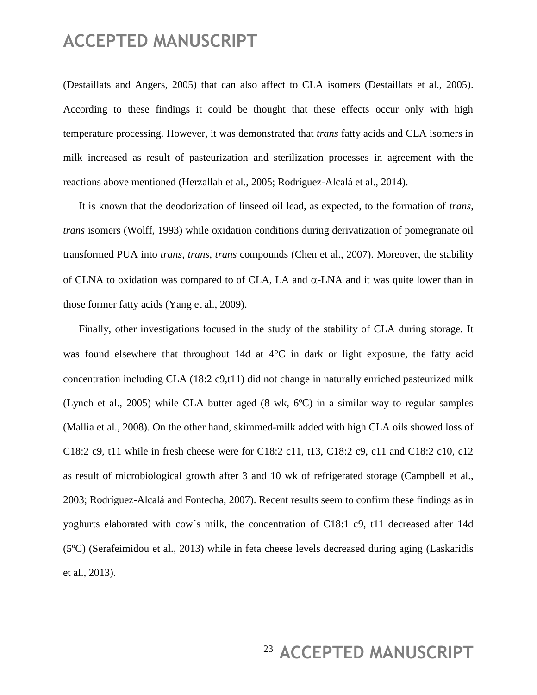(Destaillats and Angers, 2005) that can also affect to CLA isomers (Destaillats et al., 2005). According to these findings it could be thought that these effects occur only with high temperature processing. However, it was demonstrated that *trans* fatty acids and CLA isomers in milk increased as result of pasteurization and sterilization processes in agreement with the reactions above mentioned (Herzallah et al., 2005; Rodríguez-Alcalá et al., 2014).

It is known that the deodorization of linseed oil lead, as expected, to the formation of *trans*, *trans* isomers (Wolff, 1993) while oxidation conditions during derivatization of pomegranate oil transformed PUA into *trans, trans, trans* compounds (Chen et al., 2007). Moreover, the stability of CLNA to oxidation was compared to of CLA, LA and  $\alpha$ -LNA and it was quite lower than in those former fatty acids (Yang et al., 2009).

Finally, other investigations focused in the study of the stability of CLA during storage. It was found elsewhere that throughout 14d at  $4^{\circ}$ C in dark or light exposure, the fatty acid concentration including CLA (18:2 c9,t11) did not change in naturally enriched pasteurized milk (Lynch et al., 2005) while CLA butter aged (8 wk, 6ºC) in a similar way to regular samples (Mallia et al., 2008). On the other hand, skimmed-milk added with high CLA oils showed loss of C18:2 c9, t11 while in fresh cheese were for C18:2 c11, t13, C18:2 c9, c11 and C18:2 c10, c12 as result of microbiological growth after 3 and 10 wk of refrigerated storage (Campbell et al., 2003; Rodríguez-Alcalá and Fontecha, 2007). Recent results seem to confirm these findings as in yoghurts elaborated with cow´s milk, the concentration of C18:1 c9, t11 decreased after 14d (5ºC) (Serafeimidou et al., 2013) while in feta cheese levels decreased during aging (Laskaridis et al., 2013).

### <sup>23</sup> ACCEPTED MANUSCRIPT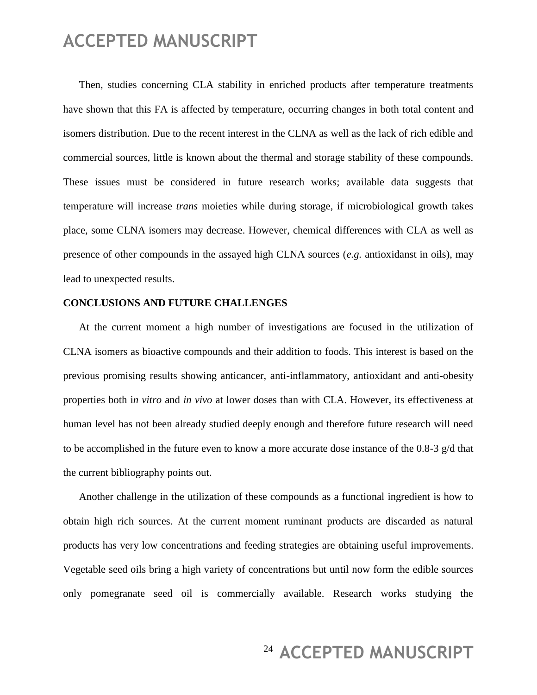Then, studies concerning CLA stability in enriched products after temperature treatments have shown that this FA is affected by temperature, occurring changes in both total content and isomers distribution. Due to the recent interest in the CLNA as well as the lack of rich edible and commercial sources, little is known about the thermal and storage stability of these compounds. These issues must be considered in future research works; available data suggests that temperature will increase *trans* moieties while during storage, if microbiological growth takes place, some CLNA isomers may decrease. However, chemical differences with CLA as well as presence of other compounds in the assayed high CLNA sources (*e.g.* antioxidanst in oils), may lead to unexpected results.

#### **CONCLUSIONS AND FUTURE CHALLENGES**

At the current moment a high number of investigations are focused in the utilization of CLNA isomers as bioactive compounds and their addition to foods. This interest is based on the previous promising results showing anticancer, anti-inflammatory, antioxidant and anti-obesity properties both i*n vitro* and *in vivo* at lower doses than with CLA. However, its effectiveness at human level has not been already studied deeply enough and therefore future research will need to be accomplished in the future even to know a more accurate dose instance of the 0.8-3 g/d that the current bibliography points out.

Another challenge in the utilization of these compounds as a functional ingredient is how to obtain high rich sources. At the current moment ruminant products are discarded as natural products has very low concentrations and feeding strategies are obtaining useful improvements. Vegetable seed oils bring a high variety of concentrations but until now form the edible sources only pomegranate seed oil is commercially available. Research works studying the

# <sup>24</sup> ACCEPTED MANUSCRIPT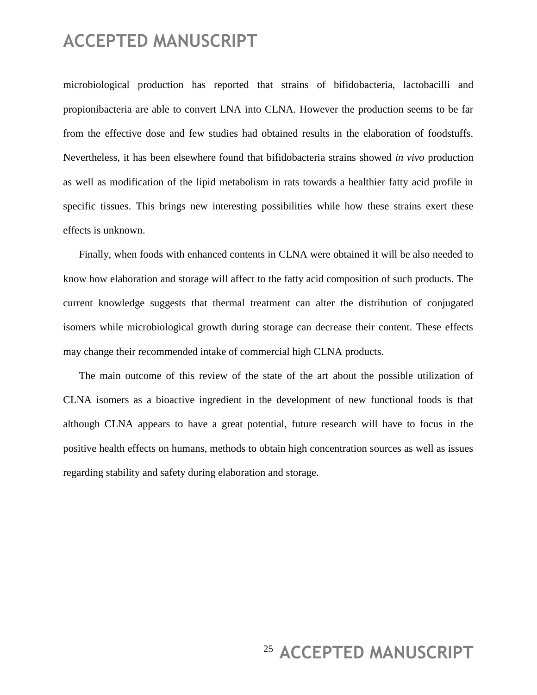microbiological production has reported that strains of bifidobacteria, lactobacilli and propionibacteria are able to convert LNA into CLNA. However the production seems to be far from the effective dose and few studies had obtained results in the elaboration of foodstuffs. Nevertheless, it has been elsewhere found that bifidobacteria strains showed *in vivo* production as well as modification of the lipid metabolism in rats towards a healthier fatty acid profile in specific tissues. This brings new interesting possibilities while how these strains exert these effects is unknown.

Finally, when foods with enhanced contents in CLNA were obtained it will be also needed to know how elaboration and storage will affect to the fatty acid composition of such products. The current knowledge suggests that thermal treatment can alter the distribution of conjugated isomers while microbiological growth during storage can decrease their content. These effects may change their recommended intake of commercial high CLNA products.

The main outcome of this review of the state of the art about the possible utilization of CLNA isomers as a bioactive ingredient in the development of new functional foods is that although CLNA appears to have a great potential, future research will have to focus in the positive health effects on humans, methods to obtain high concentration sources as well as issues regarding stability and safety during elaboration and storage.

# <sup>25</sup> ACCEPTED MANUSCRIPT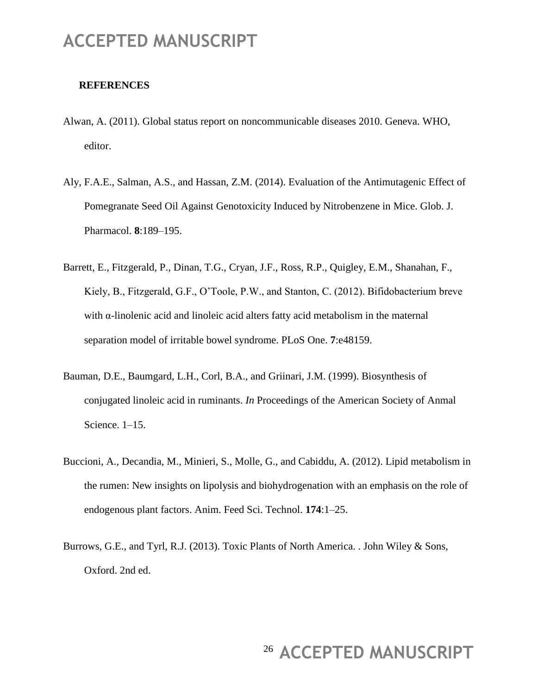#### **REFERENCES**

- Alwan, A. (2011). Global status report on noncommunicable diseases 2010. Geneva. WHO, editor.
- Aly, F.A.E., Salman, A.S., and Hassan, Z.M. (2014). Evaluation of the Antimutagenic Effect of Pomegranate Seed Oil Against Genotoxicity Induced by Nitrobenzene in Mice. Glob. J. Pharmacol. **8**:189–195.
- Barrett, E., Fitzgerald, P., Dinan, T.G., Cryan, J.F., Ross, R.P., Quigley, E.M., Shanahan, F., Kiely, B., Fitzgerald, G.F., O'Toole, P.W., and Stanton, C. (2012). Bifidobacterium breve with α-linolenic acid and linoleic acid alters fatty acid metabolism in the maternal separation model of irritable bowel syndrome. PLoS One. **7**:e48159.
- Bauman, D.E., Baumgard, L.H., Corl, B.A., and Griinari, J.M. (1999). Biosynthesis of conjugated linoleic acid in ruminants. *In* Proceedings of the American Society of Anmal Science. 1–15.
- Buccioni, A., Decandia, M., Minieri, S., Molle, G., and Cabiddu, A. (2012). Lipid metabolism in the rumen: New insights on lipolysis and biohydrogenation with an emphasis on the role of endogenous plant factors. Anim. Feed Sci. Technol. **174**:1–25.
- Burrows, G.E., and Tyrl, R.J. (2013). Toxic Plants of North America. . John Wiley & Sons, Oxford. 2nd ed.

# <sup>26</sup> ACCEPTED MANUSCRIPT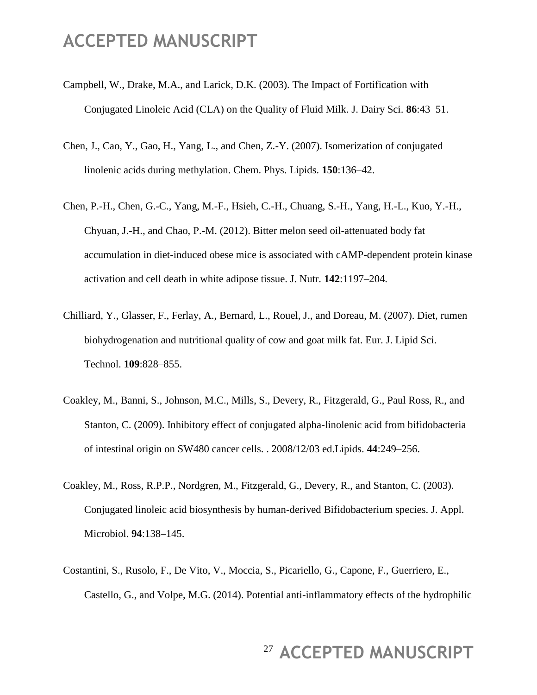- Campbell, W., Drake, M.A., and Larick, D.K. (2003). The Impact of Fortification with Conjugated Linoleic Acid (CLA) on the Quality of Fluid Milk. J. Dairy Sci. **86**:43–51.
- Chen, J., Cao, Y., Gao, H., Yang, L., and Chen, Z.-Y. (2007). Isomerization of conjugated linolenic acids during methylation. Chem. Phys. Lipids. **150**:136–42.
- Chen, P.-H., Chen, G.-C., Yang, M.-F., Hsieh, C.-H., Chuang, S.-H., Yang, H.-L., Kuo, Y.-H., Chyuan, J.-H., and Chao, P.-M. (2012). Bitter melon seed oil-attenuated body fat accumulation in diet-induced obese mice is associated with cAMP-dependent protein kinase activation and cell death in white adipose tissue. J. Nutr. **142**:1197–204.
- Chilliard, Y., Glasser, F., Ferlay, A., Bernard, L., Rouel, J., and Doreau, M. (2007). Diet, rumen biohydrogenation and nutritional quality of cow and goat milk fat. Eur. J. Lipid Sci. Technol. **109**:828–855.
- Coakley, M., Banni, S., Johnson, M.C., Mills, S., Devery, R., Fitzgerald, G., Paul Ross, R., and Stanton, C. (2009). Inhibitory effect of conjugated alpha-linolenic acid from bifidobacteria of intestinal origin on SW480 cancer cells. . 2008/12/03 ed.Lipids. **44**:249–256.
- Coakley, M., Ross, R.P.P., Nordgren, M., Fitzgerald, G., Devery, R., and Stanton, C. (2003). Conjugated linoleic acid biosynthesis by human-derived Bifidobacterium species. J. Appl. Microbiol. **94**:138–145.
- Costantini, S., Rusolo, F., De Vito, V., Moccia, S., Picariello, G., Capone, F., Guerriero, E., Castello, G., and Volpe, M.G. (2014). Potential anti-inflammatory effects of the hydrophilic

# <sup>27</sup> ACCEPTED MANUSCRIPT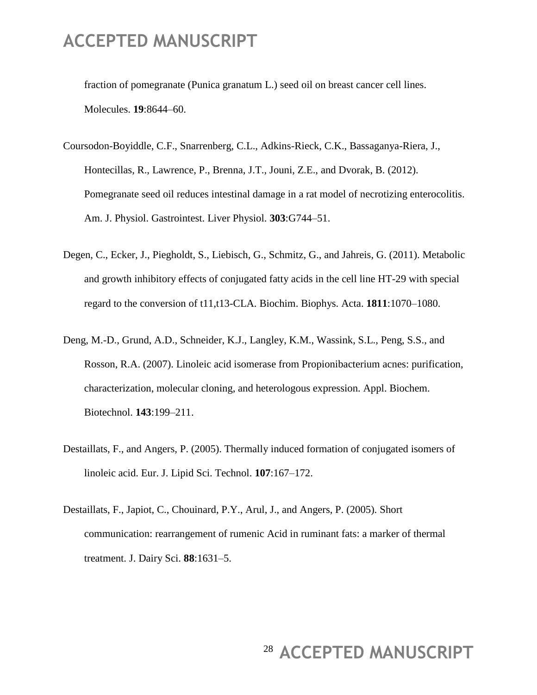fraction of pomegranate (Punica granatum L.) seed oil on breast cancer cell lines. Molecules. **19**:8644–60.

- Coursodon-Boyiddle, C.F., Snarrenberg, C.L., Adkins-Rieck, C.K., Bassaganya-Riera, J., Hontecillas, R., Lawrence, P., Brenna, J.T., Jouni, Z.E., and Dvorak, B. (2012). Pomegranate seed oil reduces intestinal damage in a rat model of necrotizing enterocolitis. Am. J. Physiol. Gastrointest. Liver Physiol. **303**:G744–51.
- Degen, C., Ecker, J., Piegholdt, S., Liebisch, G., Schmitz, G., and Jahreis, G. (2011). Metabolic and growth inhibitory effects of conjugated fatty acids in the cell line HT-29 with special regard to the conversion of t11,t13-CLA. Biochim. Biophys. Acta. **1811**:1070–1080.
- Deng, M.-D., Grund, A.D., Schneider, K.J., Langley, K.M., Wassink, S.L., Peng, S.S., and Rosson, R.A. (2007). Linoleic acid isomerase from Propionibacterium acnes: purification, characterization, molecular cloning, and heterologous expression. Appl. Biochem. Biotechnol. **143**:199–211.
- Destaillats, F., and Angers, P. (2005). Thermally induced formation of conjugated isomers of linoleic acid. Eur. J. Lipid Sci. Technol. **107**:167–172.
- Destaillats, F., Japiot, C., Chouinard, P.Y., Arul, J., and Angers, P. (2005). Short communication: rearrangement of rumenic Acid in ruminant fats: a marker of thermal treatment. J. Dairy Sci. **88**:1631–5.

### <sup>28</sup> ACCEPTED MANUSCRIPT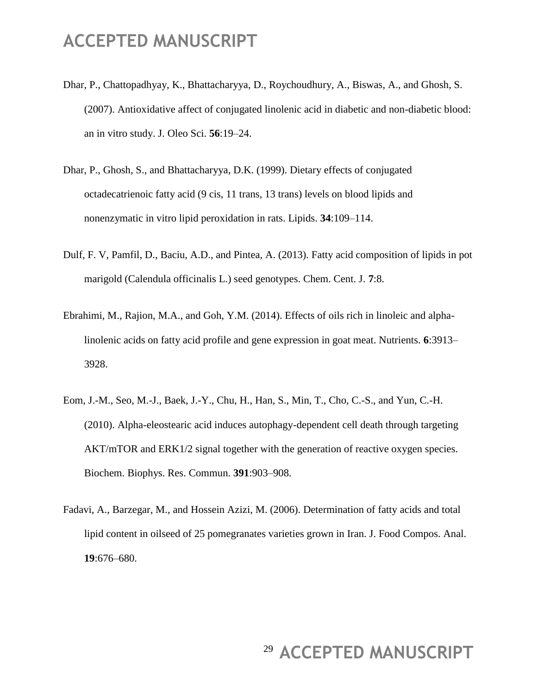- Dhar, P., Chattopadhyay, K., Bhattacharyya, D., Roychoudhury, A., Biswas, A., and Ghosh, S. (2007). Antioxidative affect of conjugated linolenic acid in diabetic and non-diabetic blood: an in vitro study. J. Oleo Sci. **56**:19–24.
- Dhar, P., Ghosh, S., and Bhattacharyya, D.K. (1999). Dietary effects of conjugated octadecatrienoic fatty acid (9 cis, 11 trans, 13 trans) levels on blood lipids and nonenzymatic in vitro lipid peroxidation in rats. Lipids. **34**:109–114.
- Dulf, F. V, Pamfil, D., Baciu, A.D., and Pintea, A. (2013). Fatty acid composition of lipids in pot marigold (Calendula officinalis L.) seed genotypes. Chem. Cent. J. **7**:8.
- Ebrahimi, M., Rajion, M.A., and Goh, Y.M. (2014). Effects of oils rich in linoleic and alphalinolenic acids on fatty acid profile and gene expression in goat meat. Nutrients. **6**:3913– 3928.
- Eom, J.-M., Seo, M.-J., Baek, J.-Y., Chu, H., Han, S., Min, T., Cho, C.-S., and Yun, C.-H. (2010). Alpha-eleostearic acid induces autophagy-dependent cell death through targeting AKT/mTOR and ERK1/2 signal together with the generation of reactive oxygen species. Biochem. Biophys. Res. Commun. **391**:903–908.
- Fadavi, A., Barzegar, M., and Hossein Azizi, M. (2006). Determination of fatty acids and total lipid content in oilseed of 25 pomegranates varieties grown in Iran. J. Food Compos. Anal. **19**:676–680.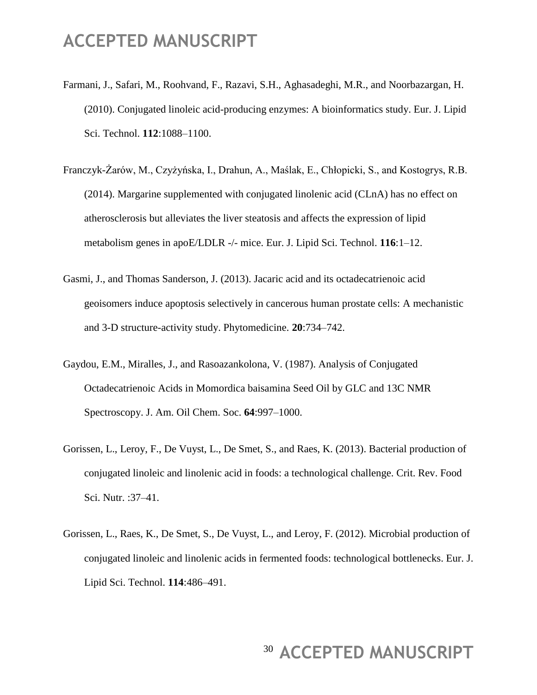- Farmani, J., Safari, M., Roohvand, F., Razavi, S.H., Aghasadeghi, M.R., and Noorbazargan, H. (2010). Conjugated linoleic acid-producing enzymes: A bioinformatics study. Eur. J. Lipid Sci. Technol. **112**:1088–1100.
- Franczyk-Żarów, M., Czyżyńska, I., Drahun, A., Maślak, E., Chłopicki, S., and Kostogrys, R.B. (2014). Margarine supplemented with conjugated linolenic acid (CLnA) has no effect on atherosclerosis but alleviates the liver steatosis and affects the expression of lipid metabolism genes in apoE/LDLR -/- mice. Eur. J. Lipid Sci. Technol. **116**:1–12.
- Gasmi, J., and Thomas Sanderson, J. (2013). Jacaric acid and its octadecatrienoic acid geoisomers induce apoptosis selectively in cancerous human prostate cells: A mechanistic and 3-D structure-activity study. Phytomedicine. **20**:734–742.
- Gaydou, E.M., Miralles, J., and Rasoazankolona, V. (1987). Analysis of Conjugated Octadecatrienoic Acids in Momordica baisamina Seed Oil by GLC and 13C NMR Spectroscopy. J. Am. Oil Chem. Soc. **64**:997–1000.
- Gorissen, L., Leroy, F., De Vuyst, L., De Smet, S., and Raes, K. (2013). Bacterial production of conjugated linoleic and linolenic acid in foods: a technological challenge. Crit. Rev. Food Sci. Nutr. :37–41.
- Gorissen, L., Raes, K., De Smet, S., De Vuyst, L., and Leroy, F. (2012). Microbial production of conjugated linoleic and linolenic acids in fermented foods: technological bottlenecks. Eur. J. Lipid Sci. Technol. **114**:486–491.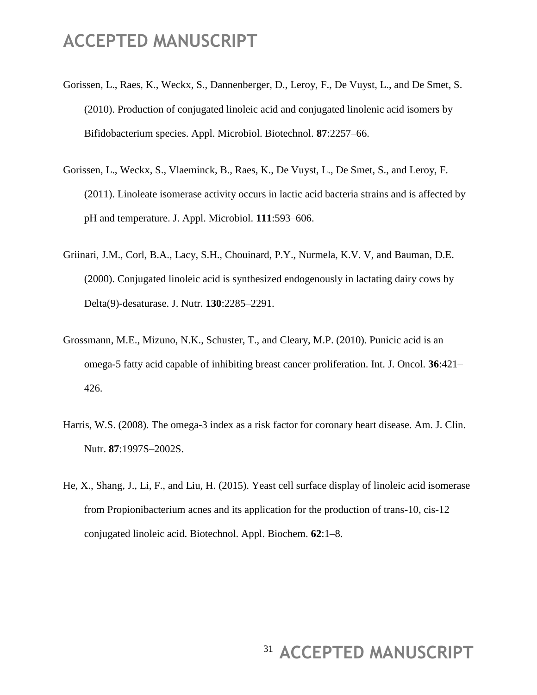- Gorissen, L., Raes, K., Weckx, S., Dannenberger, D., Leroy, F., De Vuyst, L., and De Smet, S. (2010). Production of conjugated linoleic acid and conjugated linolenic acid isomers by Bifidobacterium species. Appl. Microbiol. Biotechnol. **87**:2257–66.
- Gorissen, L., Weckx, S., Vlaeminck, B., Raes, K., De Vuyst, L., De Smet, S., and Leroy, F. (2011). Linoleate isomerase activity occurs in lactic acid bacteria strains and is affected by pH and temperature. J. Appl. Microbiol. **111**:593–606.
- Griinari, J.M., Corl, B.A., Lacy, S.H., Chouinard, P.Y., Nurmela, K.V. V, and Bauman, D.E. (2000). Conjugated linoleic acid is synthesized endogenously in lactating dairy cows by Delta(9)-desaturase. J. Nutr. **130**:2285–2291.
- Grossmann, M.E., Mizuno, N.K., Schuster, T., and Cleary, M.P. (2010). Punicic acid is an omega-5 fatty acid capable of inhibiting breast cancer proliferation. Int. J. Oncol. **36**:421– 426.
- Harris, W.S. (2008). The omega-3 index as a risk factor for coronary heart disease. Am. J. Clin. Nutr. **87**:1997S–2002S.
- He, X., Shang, J., Li, F., and Liu, H. (2015). Yeast cell surface display of linoleic acid isomerase from Propionibacterium acnes and its application for the production of trans-10, cis-12 conjugated linoleic acid. Biotechnol. Appl. Biochem. **62**:1–8.

# <sup>31</sup> ACCEPTED MANUSCRIPT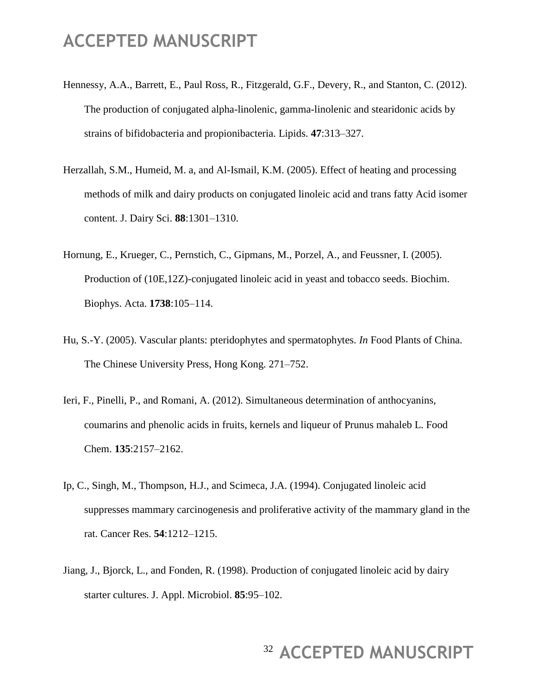- Hennessy, A.A., Barrett, E., Paul Ross, R., Fitzgerald, G.F., Devery, R., and Stanton, C. (2012). The production of conjugated alpha-linolenic, gamma-linolenic and stearidonic acids by strains of bifidobacteria and propionibacteria. Lipids. **47**:313–327.
- Herzallah, S.M., Humeid, M. a, and Al-Ismail, K.M. (2005). Effect of heating and processing methods of milk and dairy products on conjugated linoleic acid and trans fatty Acid isomer content. J. Dairy Sci. **88**:1301–1310.
- Hornung, E., Krueger, C., Pernstich, C., Gipmans, M., Porzel, A., and Feussner, I. (2005). Production of (10E,12Z)-conjugated linoleic acid in yeast and tobacco seeds. Biochim. Biophys. Acta. **1738**:105–114.
- Hu, S.-Y. (2005). Vascular plants: pteridophytes and spermatophytes. *In* Food Plants of China. The Chinese University Press, Hong Kong. 271–752.
- Ieri, F., Pinelli, P., and Romani, A. (2012). Simultaneous determination of anthocyanins, coumarins and phenolic acids in fruits, kernels and liqueur of Prunus mahaleb L. Food Chem. **135**:2157–2162.
- Ip, C., Singh, M., Thompson, H.J., and Scimeca, J.A. (1994). Conjugated linoleic acid suppresses mammary carcinogenesis and proliferative activity of the mammary gland in the rat. Cancer Res. **54**:1212–1215.
- Jiang, J., Bjorck, L., and Fonden, R. (1998). Production of conjugated linoleic acid by dairy starter cultures. J. Appl. Microbiol. **85**:95–102.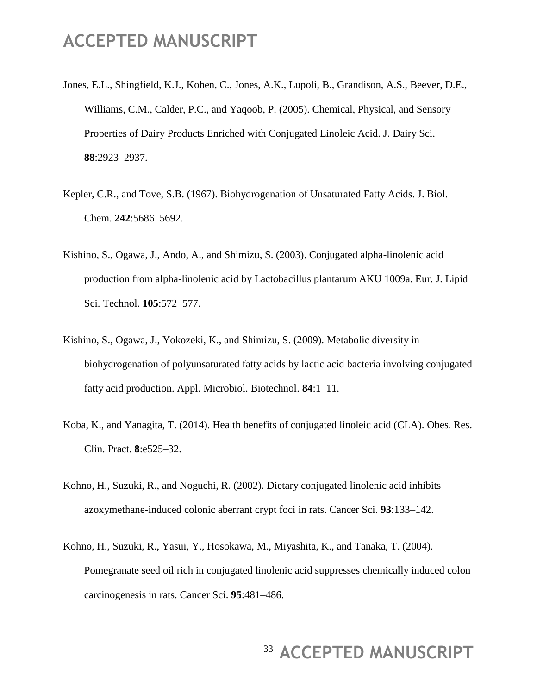- Jones, E.L., Shingfield, K.J., Kohen, C., Jones, A.K., Lupoli, B., Grandison, A.S., Beever, D.E., Williams, C.M., Calder, P.C., and Yaqoob, P. (2005). Chemical, Physical, and Sensory Properties of Dairy Products Enriched with Conjugated Linoleic Acid. J. Dairy Sci. **88**:2923–2937.
- Kepler, C.R., and Tove, S.B. (1967). Biohydrogenation of Unsaturated Fatty Acids. J. Biol. Chem. **242**:5686–5692.
- Kishino, S., Ogawa, J., Ando, A., and Shimizu, S. (2003). Conjugated alpha-linolenic acid production from alpha-linolenic acid by Lactobacillus plantarum AKU 1009a. Eur. J. Lipid Sci. Technol. **105**:572–577.
- Kishino, S., Ogawa, J., Yokozeki, K., and Shimizu, S. (2009). Metabolic diversity in biohydrogenation of polyunsaturated fatty acids by lactic acid bacteria involving conjugated fatty acid production. Appl. Microbiol. Biotechnol. **84**:1–11.
- Koba, K., and Yanagita, T. (2014). Health benefits of conjugated linoleic acid (CLA). Obes. Res. Clin. Pract. **8**:e525–32.
- Kohno, H., Suzuki, R., and Noguchi, R. (2002). Dietary conjugated linolenic acid inhibits azoxymethane-induced colonic aberrant crypt foci in rats. Cancer Sci. **93**:133–142.
- Kohno, H., Suzuki, R., Yasui, Y., Hosokawa, M., Miyashita, K., and Tanaka, T. (2004). Pomegranate seed oil rich in conjugated linolenic acid suppresses chemically induced colon carcinogenesis in rats. Cancer Sci. **95**:481–486.

### <sup>33</sup> ACCEPTED MANUSCRIPT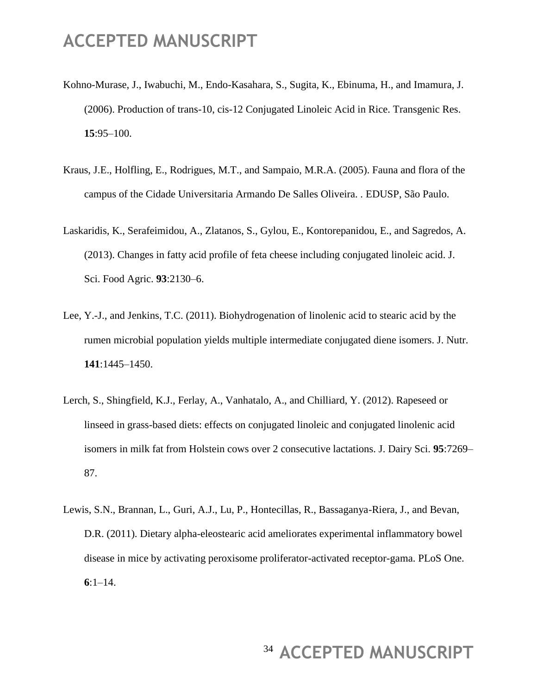- Kohno-Murase, J., Iwabuchi, M., Endo-Kasahara, S., Sugita, K., Ebinuma, H., and Imamura, J. (2006). Production of trans-10, cis-12 Conjugated Linoleic Acid in Rice. Transgenic Res. **15**:95–100.
- Kraus, J.E., Holfling, E., Rodrigues, M.T., and Sampaio, M.R.A. (2005). Fauna and flora of the campus of the Cidade Universitaria Armando De Salles Oliveira. . EDUSP, São Paulo.
- Laskaridis, K., Serafeimidou, A., Zlatanos, S., Gylou, E., Kontorepanidou, E., and Sagredos, A. (2013). Changes in fatty acid profile of feta cheese including conjugated linoleic acid. J. Sci. Food Agric. **93**:2130–6.
- Lee, Y.-J., and Jenkins, T.C. (2011). Biohydrogenation of linolenic acid to stearic acid by the rumen microbial population yields multiple intermediate conjugated diene isomers. J. Nutr. **141**:1445–1450.
- Lerch, S., Shingfield, K.J., Ferlay, A., Vanhatalo, A., and Chilliard, Y. (2012). Rapeseed or linseed in grass-based diets: effects on conjugated linoleic and conjugated linolenic acid isomers in milk fat from Holstein cows over 2 consecutive lactations. J. Dairy Sci. **95**:7269– 87.
- Lewis, S.N., Brannan, L., Guri, A.J., Lu, P., Hontecillas, R., Bassaganya-Riera, J., and Bevan, D.R. (2011). Dietary alpha-eleostearic acid ameliorates experimental inflammatory bowel disease in mice by activating peroxisome proliferator-activated receptor-gama. PLoS One. **6**:1–14.

# <sup>34</sup> ACCEPTED MANUSCRIPT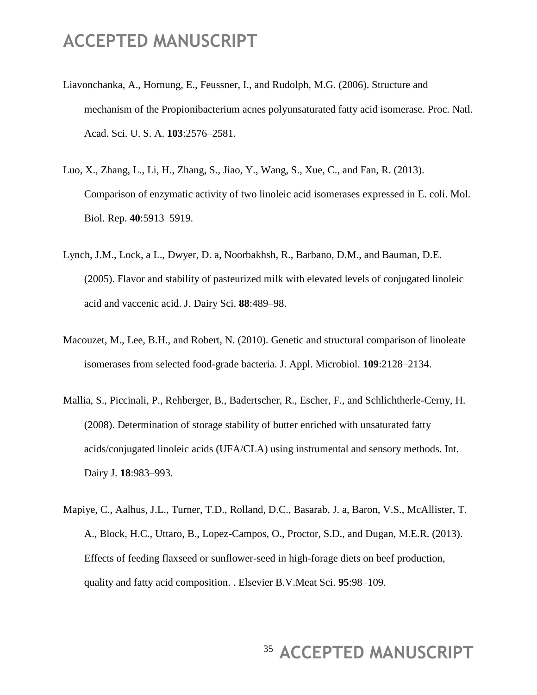- Liavonchanka, A., Hornung, E., Feussner, I., and Rudolph, M.G. (2006). Structure and mechanism of the Propionibacterium acnes polyunsaturated fatty acid isomerase. Proc. Natl. Acad. Sci. U. S. A. **103**:2576–2581.
- Luo, X., Zhang, L., Li, H., Zhang, S., Jiao, Y., Wang, S., Xue, C., and Fan, R. (2013). Comparison of enzymatic activity of two linoleic acid isomerases expressed in E. coli. Mol. Biol. Rep. **40**:5913–5919.
- Lynch, J.M., Lock, a L., Dwyer, D. a, Noorbakhsh, R., Barbano, D.M., and Bauman, D.E. (2005). Flavor and stability of pasteurized milk with elevated levels of conjugated linoleic acid and vaccenic acid. J. Dairy Sci. **88**:489–98.
- Macouzet, M., Lee, B.H., and Robert, N. (2010). Genetic and structural comparison of linoleate isomerases from selected food-grade bacteria. J. Appl. Microbiol. **109**:2128–2134.
- Mallia, S., Piccinali, P., Rehberger, B., Badertscher, R., Escher, F., and Schlichtherle-Cerny, H. (2008). Determination of storage stability of butter enriched with unsaturated fatty acids/conjugated linoleic acids (UFA/CLA) using instrumental and sensory methods. Int. Dairy J. **18**:983–993.
- Mapiye, C., Aalhus, J.L., Turner, T.D., Rolland, D.C., Basarab, J. a, Baron, V.S., McAllister, T. A., Block, H.C., Uttaro, B., Lopez-Campos, O., Proctor, S.D., and Dugan, M.E.R. (2013). Effects of feeding flaxseed or sunflower-seed in high-forage diets on beef production, quality and fatty acid composition. . Elsevier B.V.Meat Sci. **95**:98–109.

# <sup>35</sup> ACCEPTED MANUSCRIPT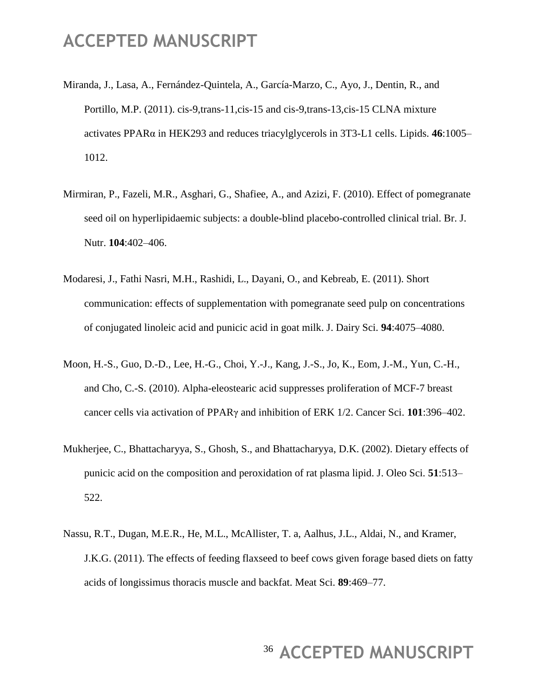- Miranda, J., Lasa, A., Fernández-Quintela, A., García-Marzo, C., Ayo, J., Dentin, R., and Portillo, M.P. (2011). cis-9,trans-11,cis-15 and cis-9,trans-13,cis-15 CLNA mixture activates PPARα in HEK293 and reduces triacylglycerols in 3T3-L1 cells. Lipids. **46**:1005– 1012.
- Mirmiran, P., Fazeli, M.R., Asghari, G., Shafiee, A., and Azizi, F. (2010). Effect of pomegranate seed oil on hyperlipidaemic subjects: a double-blind placebo-controlled clinical trial. Br. J. Nutr. **104**:402–406.
- Modaresi, J., Fathi Nasri, M.H., Rashidi, L., Dayani, O., and Kebreab, E. (2011). Short communication: effects of supplementation with pomegranate seed pulp on concentrations of conjugated linoleic acid and punicic acid in goat milk. J. Dairy Sci. **94**:4075–4080.
- Moon, H.-S., Guo, D.-D., Lee, H.-G., Choi, Y.-J., Kang, J.-S., Jo, K., Eom, J.-M., Yun, C.-H., and Cho, C.-S. (2010). Alpha-eleostearic acid suppresses proliferation of MCF-7 breast cancer cells via activation of PPARγ and inhibition of ERK 1/2. Cancer Sci. **101**:396–402.
- Mukherjee, C., Bhattacharyya, S., Ghosh, S., and Bhattacharyya, D.K. (2002). Dietary effects of punicic acid on the composition and peroxidation of rat plasma lipid. J. Oleo Sci. **51**:513– 522.
- Nassu, R.T., Dugan, M.E.R., He, M.L., McAllister, T. a, Aalhus, J.L., Aldai, N., and Kramer, J.K.G. (2011). The effects of feeding flaxseed to beef cows given forage based diets on fatty acids of longissimus thoracis muscle and backfat. Meat Sci. **89**:469–77.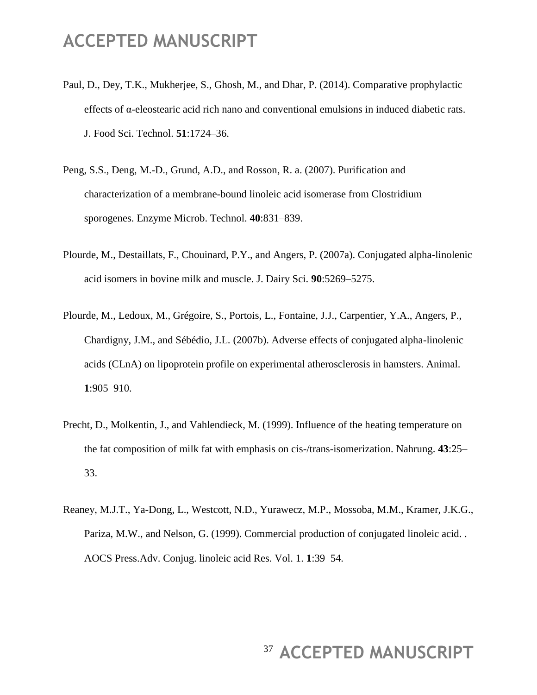- Paul, D., Dey, T.K., Mukherjee, S., Ghosh, M., and Dhar, P. (2014). Comparative prophylactic effects of α-eleostearic acid rich nano and conventional emulsions in induced diabetic rats. J. Food Sci. Technol. **51**:1724–36.
- Peng, S.S., Deng, M.-D., Grund, A.D., and Rosson, R. a. (2007). Purification and characterization of a membrane-bound linoleic acid isomerase from Clostridium sporogenes. Enzyme Microb. Technol. **40**:831–839.
- Plourde, M., Destaillats, F., Chouinard, P.Y., and Angers, P. (2007a). Conjugated alpha-linolenic acid isomers in bovine milk and muscle. J. Dairy Sci. **90**:5269–5275.
- Plourde, M., Ledoux, M., Grégoire, S., Portois, L., Fontaine, J.J., Carpentier, Y.A., Angers, P., Chardigny, J.M., and Sébédio, J.L. (2007b). Adverse effects of conjugated alpha-linolenic acids (CLnA) on lipoprotein profile on experimental atherosclerosis in hamsters. Animal. **1**:905–910.
- Precht, D., Molkentin, J., and Vahlendieck, M. (1999). Influence of the heating temperature on the fat composition of milk fat with emphasis on cis-/trans-isomerization. Nahrung. **43**:25– 33.
- Reaney, M.J.T., Ya-Dong, L., Westcott, N.D., Yurawecz, M.P., Mossoba, M.M., Kramer, J.K.G., Pariza, M.W., and Nelson, G. (1999). Commercial production of conjugated linoleic acid. . AOCS Press.Adv. Conjug. linoleic acid Res. Vol. 1. **1**:39–54.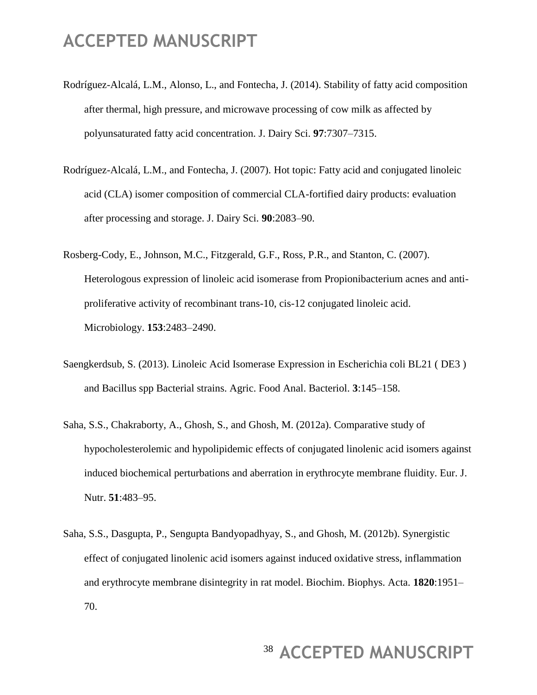- Rodríguez-Alcalá, L.M., Alonso, L., and Fontecha, J. (2014). Stability of fatty acid composition after thermal, high pressure, and microwave processing of cow milk as affected by polyunsaturated fatty acid concentration. J. Dairy Sci. **97**:7307–7315.
- Rodríguez-Alcalá, L.M., and Fontecha, J. (2007). Hot topic: Fatty acid and conjugated linoleic acid (CLA) isomer composition of commercial CLA-fortified dairy products: evaluation after processing and storage. J. Dairy Sci. **90**:2083–90.
- Rosberg-Cody, E., Johnson, M.C., Fitzgerald, G.F., Ross, P.R., and Stanton, C. (2007). Heterologous expression of linoleic acid isomerase from Propionibacterium acnes and antiproliferative activity of recombinant trans-10, cis-12 conjugated linoleic acid. Microbiology. **153**:2483–2490.
- Saengkerdsub, S. (2013). Linoleic Acid Isomerase Expression in Escherichia coli BL21 ( DE3 ) and Bacillus spp Bacterial strains. Agric. Food Anal. Bacteriol. **3**:145–158.
- Saha, S.S., Chakraborty, A., Ghosh, S., and Ghosh, M. (2012a). Comparative study of hypocholesterolemic and hypolipidemic effects of conjugated linolenic acid isomers against induced biochemical perturbations and aberration in erythrocyte membrane fluidity. Eur. J. Nutr. **51**:483–95.
- Saha, S.S., Dasgupta, P., Sengupta Bandyopadhyay, S., and Ghosh, M. (2012b). Synergistic effect of conjugated linolenic acid isomers against induced oxidative stress, inflammation and erythrocyte membrane disintegrity in rat model. Biochim. Biophys. Acta. **1820**:1951– 70.

# <sup>38</sup> ACCEPTED MANUSCRIPT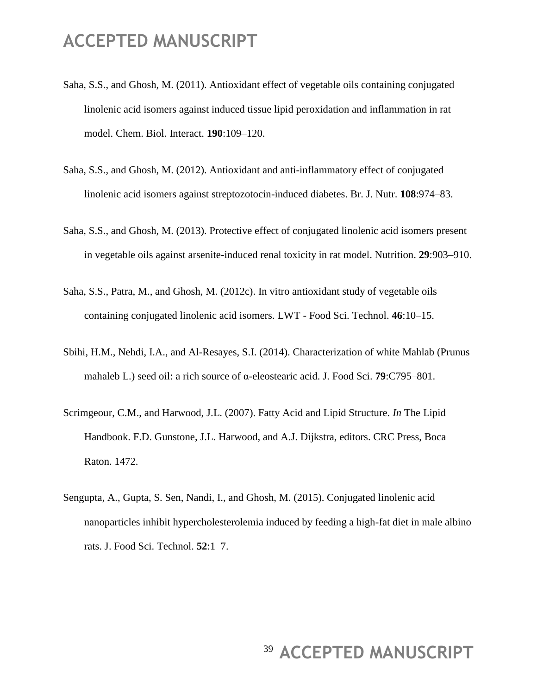- Saha, S.S., and Ghosh, M. (2011). Antioxidant effect of vegetable oils containing conjugated linolenic acid isomers against induced tissue lipid peroxidation and inflammation in rat model. Chem. Biol. Interact. **190**:109–120.
- Saha, S.S., and Ghosh, M. (2012). Antioxidant and anti-inflammatory effect of conjugated linolenic acid isomers against streptozotocin-induced diabetes. Br. J. Nutr. **108**:974–83.
- Saha, S.S., and Ghosh, M. (2013). Protective effect of conjugated linolenic acid isomers present in vegetable oils against arsenite-induced renal toxicity in rat model. Nutrition. **29**:903–910.
- Saha, S.S., Patra, M., and Ghosh, M. (2012c). In vitro antioxidant study of vegetable oils containing conjugated linolenic acid isomers. LWT - Food Sci. Technol. **46**:10–15.
- Sbihi, H.M., Nehdi, I.A., and Al-Resayes, S.I. (2014). Characterization of white Mahlab (Prunus mahaleb L.) seed oil: a rich source of α-eleostearic acid. J. Food Sci. **79**:C795–801.
- Scrimgeour, C.M., and Harwood, J.L. (2007). Fatty Acid and Lipid Structure. *In* The Lipid Handbook. F.D. Gunstone, J.L. Harwood, and A.J. Dijkstra, editors. CRC Press, Boca Raton. 1472.
- Sengupta, A., Gupta, S. Sen, Nandi, I., and Ghosh, M. (2015). Conjugated linolenic acid nanoparticles inhibit hypercholesterolemia induced by feeding a high-fat diet in male albino rats. J. Food Sci. Technol. **52**:1–7.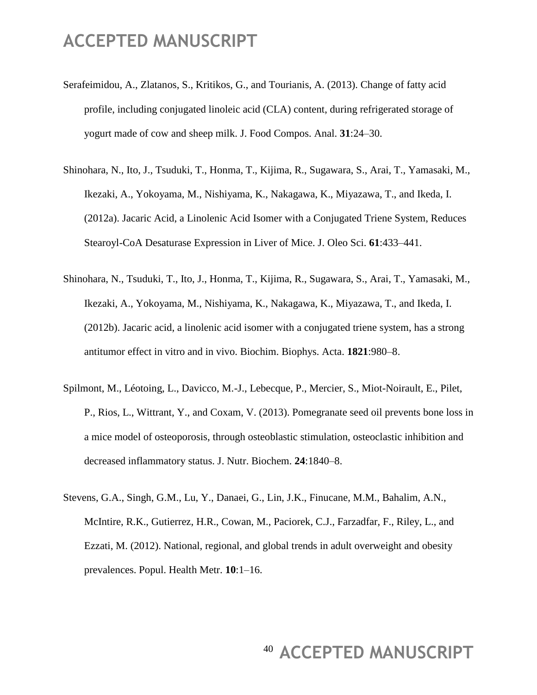- Serafeimidou, A., Zlatanos, S., Kritikos, G., and Tourianis, A. (2013). Change of fatty acid profile, including conjugated linoleic acid (CLA) content, during refrigerated storage of yogurt made of cow and sheep milk. J. Food Compos. Anal. **31**:24–30.
- Shinohara, N., Ito, J., Tsuduki, T., Honma, T., Kijima, R., Sugawara, S., Arai, T., Yamasaki, M., Ikezaki, A., Yokoyama, M., Nishiyama, K., Nakagawa, K., Miyazawa, T., and Ikeda, I. (2012a). Jacaric Acid, a Linolenic Acid Isomer with a Conjugated Triene System, Reduces Stearoyl-CoA Desaturase Expression in Liver of Mice. J. Oleo Sci. **61**:433–441.
- Shinohara, N., Tsuduki, T., Ito, J., Honma, T., Kijima, R., Sugawara, S., Arai, T., Yamasaki, M., Ikezaki, A., Yokoyama, M., Nishiyama, K., Nakagawa, K., Miyazawa, T., and Ikeda, I. (2012b). Jacaric acid, a linolenic acid isomer with a conjugated triene system, has a strong antitumor effect in vitro and in vivo. Biochim. Biophys. Acta. **1821**:980–8.
- Spilmont, M., Léotoing, L., Davicco, M.-J., Lebecque, P., Mercier, S., Miot-Noirault, E., Pilet, P., Rios, L., Wittrant, Y., and Coxam, V. (2013). Pomegranate seed oil prevents bone loss in a mice model of osteoporosis, through osteoblastic stimulation, osteoclastic inhibition and decreased inflammatory status. J. Nutr. Biochem. **24**:1840–8.
- Stevens, G.A., Singh, G.M., Lu, Y., Danaei, G., Lin, J.K., Finucane, M.M., Bahalim, A.N., McIntire, R.K., Gutierrez, H.R., Cowan, M., Paciorek, C.J., Farzadfar, F., Riley, L., and Ezzati, M. (2012). National, regional, and global trends in adult overweight and obesity prevalences. Popul. Health Metr. **10**:1–16.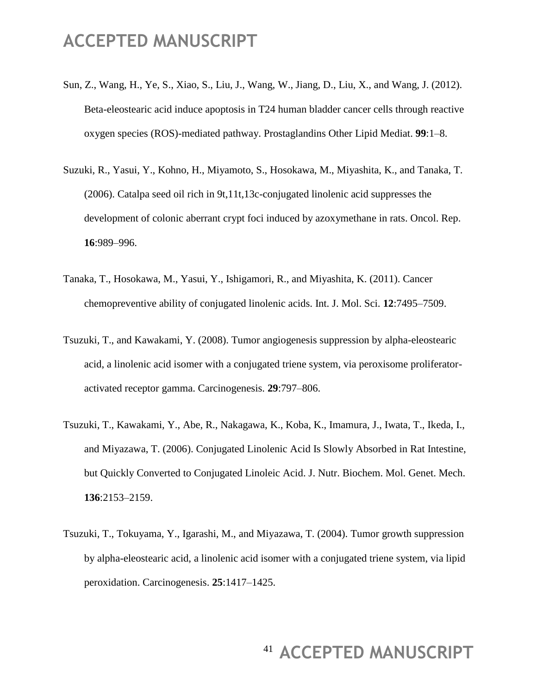- Sun, Z., Wang, H., Ye, S., Xiao, S., Liu, J., Wang, W., Jiang, D., Liu, X., and Wang, J. (2012). Beta-eleostearic acid induce apoptosis in T24 human bladder cancer cells through reactive oxygen species (ROS)-mediated pathway. Prostaglandins Other Lipid Mediat. **99**:1–8.
- Suzuki, R., Yasui, Y., Kohno, H., Miyamoto, S., Hosokawa, M., Miyashita, K., and Tanaka, T. (2006). Catalpa seed oil rich in 9t,11t,13c-conjugated linolenic acid suppresses the development of colonic aberrant crypt foci induced by azoxymethane in rats. Oncol. Rep. **16**:989–996.
- Tanaka, T., Hosokawa, M., Yasui, Y., Ishigamori, R., and Miyashita, K. (2011). Cancer chemopreventive ability of conjugated linolenic acids. Int. J. Mol. Sci. **12**:7495–7509.
- Tsuzuki, T., and Kawakami, Y. (2008). Tumor angiogenesis suppression by alpha-eleostearic acid, a linolenic acid isomer with a conjugated triene system, via peroxisome proliferatoractivated receptor gamma. Carcinogenesis. **29**:797–806.
- Tsuzuki, T., Kawakami, Y., Abe, R., Nakagawa, K., Koba, K., Imamura, J., Iwata, T., Ikeda, I., and Miyazawa, T. (2006). Conjugated Linolenic Acid Is Slowly Absorbed in Rat Intestine, but Quickly Converted to Conjugated Linoleic Acid. J. Nutr. Biochem. Mol. Genet. Mech. **136**:2153–2159.
- Tsuzuki, T., Tokuyama, Y., Igarashi, M., and Miyazawa, T. (2004). Tumor growth suppression by alpha-eleostearic acid, a linolenic acid isomer with a conjugated triene system, via lipid peroxidation. Carcinogenesis. **25**:1417–1425.

# <sup>41</sup> ACCEPTED MANUSCRIPT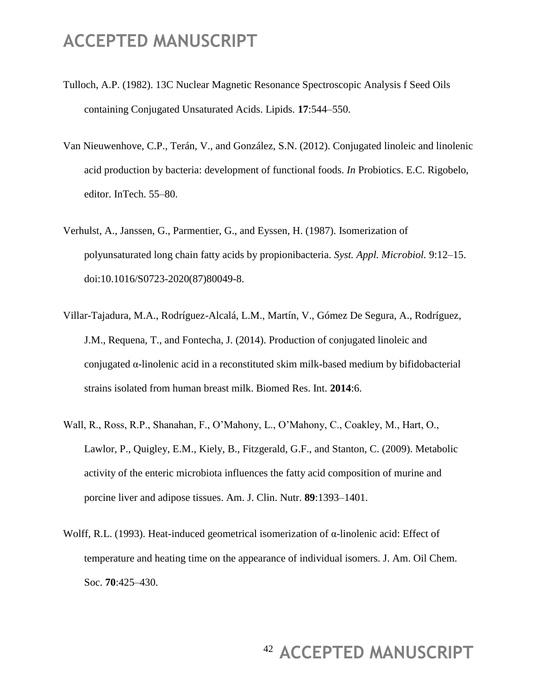- Tulloch, A.P. (1982). 13C Nuclear Magnetic Resonance Spectroscopic Analysis f Seed Oils containing Conjugated Unsaturated Acids. Lipids. **17**:544–550.
- Van Nieuwenhove, C.P., Terán, V., and González, S.N. (2012). Conjugated linoleic and linolenic acid production by bacteria: development of functional foods. *In* Probiotics. E.C. Rigobelo, editor. InTech. 55–80.
- Verhulst, A., Janssen, G., Parmentier, G., and Eyssen, H. (1987). Isomerization of polyunsaturated long chain fatty acids by propionibacteria. *Syst. Appl. Microbiol.* 9:12–15. doi:10.1016/S0723-2020(87)80049-8.
- Villar-Tajadura, M.A., Rodríguez-Alcalá, L.M., Martín, V., Gómez De Segura, A., Rodríguez, J.M., Requena, T., and Fontecha, J. (2014). Production of conjugated linoleic and conjugated  $\alpha$ -linolenic acid in a reconstituted skim milk-based medium by bifidobacterial strains isolated from human breast milk. Biomed Res. Int. **2014**:6.
- Wall, R., Ross, R.P., Shanahan, F., O'Mahony, L., O'Mahony, C., Coakley, M., Hart, O., Lawlor, P., Quigley, E.M., Kiely, B., Fitzgerald, G.F., and Stanton, C. (2009). Metabolic activity of the enteric microbiota influences the fatty acid composition of murine and porcine liver and adipose tissues. Am. J. Clin. Nutr. **89**:1393–1401.
- Wolff, R.L. (1993). Heat-induced geometrical isomerization of α-linolenic acid: Effect of temperature and heating time on the appearance of individual isomers. J. Am. Oil Chem. Soc. **70**:425–430.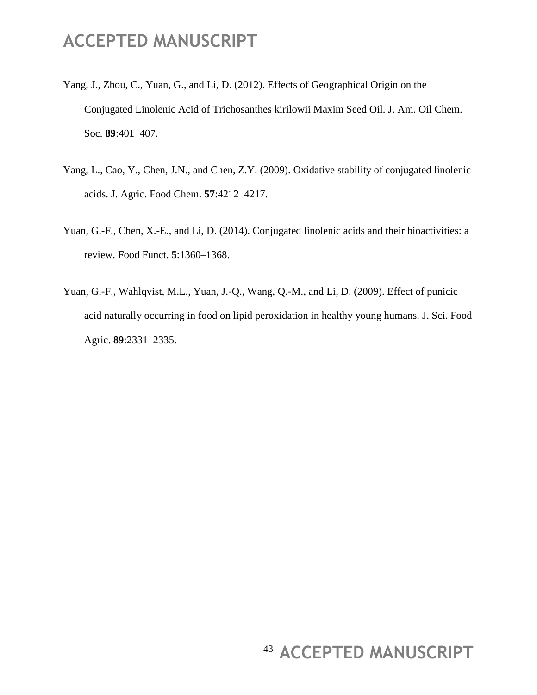- Yang, J., Zhou, C., Yuan, G., and Li, D. (2012). Effects of Geographical Origin on the Conjugated Linolenic Acid of Trichosanthes kirilowii Maxim Seed Oil. J. Am. Oil Chem. Soc. **89**:401–407.
- Yang, L., Cao, Y., Chen, J.N., and Chen, Z.Y. (2009). Oxidative stability of conjugated linolenic acids. J. Agric. Food Chem. **57**:4212–4217.
- Yuan, G.-F., Chen, X.-E., and Li, D. (2014). Conjugated linolenic acids and their bioactivities: a review. Food Funct. **5**:1360–1368.
- Yuan, G.-F., Wahlqvist, M.L., Yuan, J.-Q., Wang, Q.-M., and Li, D. (2009). Effect of punicic acid naturally occurring in food on lipid peroxidation in healthy young humans. J. Sci. Food Agric. **89**:2331–2335.

# <sup>43</sup> ACCEPTED MANUSCRIPT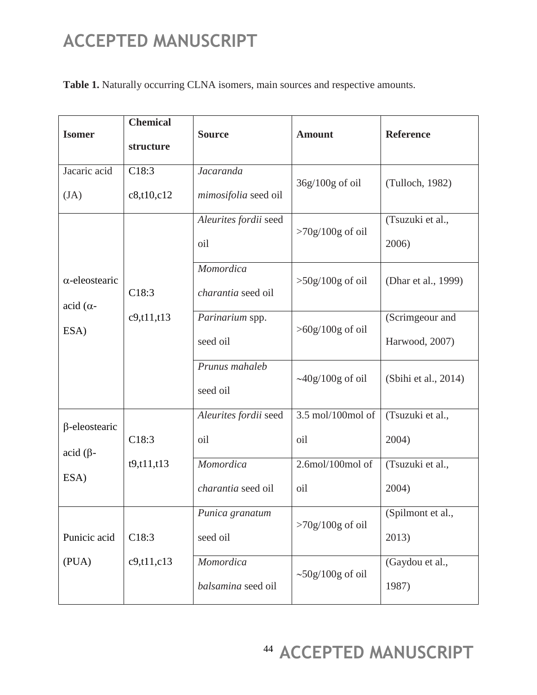**Table 1.** Naturally occurring CLNA isomers, main sources and respective amounts.

| <b>Isomer</b>                                                | <b>Chemical</b><br>structure | <b>Source</b>                            | <b>Amount</b>                  | <b>Reference</b>                  |  |
|--------------------------------------------------------------|------------------------------|------------------------------------------|--------------------------------|-----------------------------------|--|
| Jacaric acid<br>(JA)                                         | C18:3<br>c8, t10, c12        | <b>Jacaranda</b><br>mimosifolia seed oil | $36g/100g$ of oil              | (Tulloch, 1982)                   |  |
| $\alpha$ -eleostearic<br>$\alpha$ -acid ( $\alpha$ -<br>ESA) |                              | Aleurites fordii seed<br>oil             | $>70g/100g$ of oil             | (Tsuzuki et al.,<br>2006)         |  |
|                                                              | C18:3<br>c9, t11, t13        | Momordica<br>charantia seed oil          | $>50g/100g$ of oil             | (Dhar et al., 1999)               |  |
|                                                              |                              | Parinarium spp.<br>seed oil              | $>60g/100g$ of oil             | (Scrimgeour and<br>Harwood, 2007) |  |
|                                                              |                              | Prunus mahaleb<br>seed oil               | $\sim$ 40g/100g of oil         | (Sbihi et al., 2014)              |  |
| $\beta$ -eleostearic<br>$\alpha$ id ( $\beta$ -<br>ESA)      | C18:3                        | Aleurites fordii seed<br>oil             | 3.5 mol/100mol of<br>oil       | (Tsuzuki et al.,<br>2004)         |  |
|                                                              | t9, t11, t13                 | Momordica<br><i>charantia</i> seed oil   | $2.6$ mol/ $100$ mol of<br>oil | (Tsuzuki et al.,<br>2004)         |  |
| Punicic acid                                                 | C18:3                        | Punica granatum<br>seed oil              | $>70g/100g$ of oil             | (Spilmont et al.,<br>2013)        |  |
| (PUA)                                                        | c9, t11, c13                 | Momordica<br>balsamina seed oil          | $\sim$ 50g/100g of oil         | (Gaydou et al.,<br>1987)          |  |

<sup>44</sup> ACCEPTED MANUSCRIPT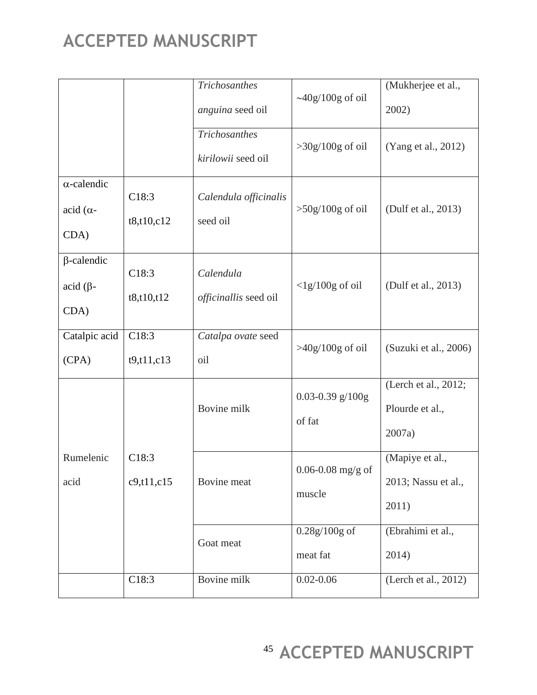|                                                           |                       | <b>Trichosanthes</b>                       |                              | (Mukherjee et al.,                                |
|-----------------------------------------------------------|-----------------------|--------------------------------------------|------------------------------|---------------------------------------------------|
|                                                           |                       | anguina seed oil                           | $\sim$ 40g/100g of oil       | 2002)                                             |
|                                                           |                       | <b>Trichosanthes</b><br>kirilowii seed oil | $>30g/100g$ of oil           | (Yang et al., 2012)                               |
| $\alpha$ -calendic<br>$\alpha$ -acid ( $\alpha$ -<br>CDA) | C18:3<br>t8, t10, c12 | Calendula officinalis<br>seed oil          | $>50g/100g$ of oil           | (Dulf et al., 2013)                               |
| $\beta$ -calendic<br>$\alpha$ id ( $\beta$ -<br>CDA)      | C18:3<br>t8, t10, t12 | Calendula<br>officinallis seed oil         | $<$ lg/100g of oil           | (Dulf et al., 2013)                               |
| Catalpic acid<br>(CPA)                                    | C18:3<br>t9, t11, c13 | Catalpa ovate seed<br>oil                  | $>40g/100g$ of oil           | (Suzuki et al., 2006)                             |
|                                                           |                       | Bovine milk                                | 0.03-0.39 $g/100g$<br>of fat | (Lerch et al., 2012;<br>Plourde et al.,<br>2007a) |
| Rumelenic<br>acid                                         | C18:3<br>c9, t11, c15 | Bovine meat                                | 0.06-0.08 mg/g of<br>muscle  | (Mapiye et al.,<br>2013; Nassu et al.,<br>2011)   |
|                                                           |                       | Goat meat                                  | $0.28g/100g$ of<br>meat fat  | (Ebrahimi et al.,<br>2014)                        |
|                                                           | C18:3                 | Bovine milk                                | $0.02 - 0.06$                | (Lerch et al., 2012)                              |

<sup>45</sup> ACCEPTED MANUSCRIPT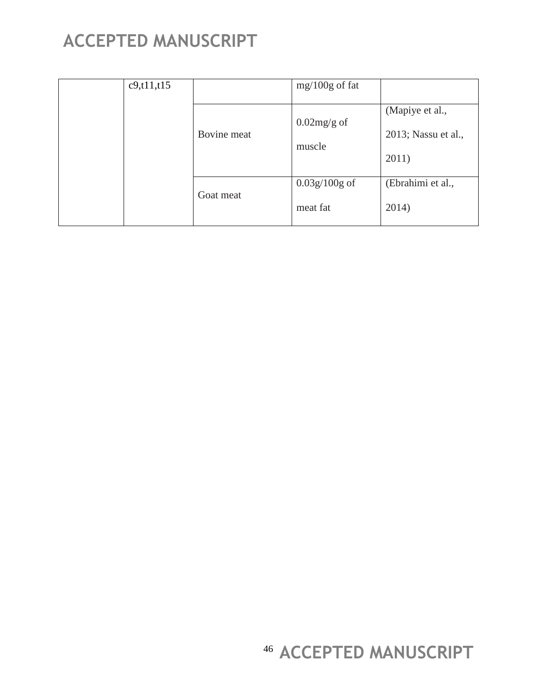| c9, t11, t15 |             | $mg/100g$ of fat |                                        |
|--------------|-------------|------------------|----------------------------------------|
|              | Bovine meat | $0.02$ mg/g of   | (Mapiye et al.,<br>2013; Nassu et al., |
|              |             | muscle           | 2011)                                  |
|              |             | $0.03g/100g$ of  | (Ebrahimi et al.,                      |
|              | Goat meat   | meat fat         | 2014)                                  |

<sup>46</sup> ACCEPTED MANUSCRIPT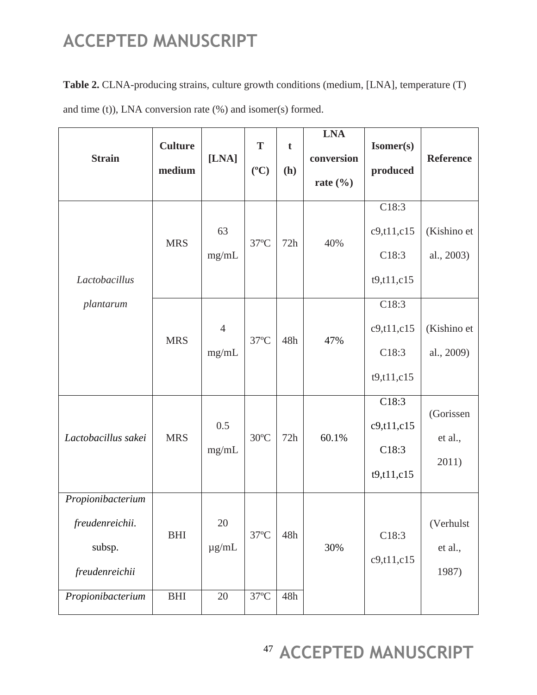**Table 2.** CLNA-producing strains, culture growth conditions (medium, [LNA], temperature (T) and time (t)), LNA conversion rate (%) and isomer(s) formed.

| <b>Strain</b>                                                    | <b>Culture</b><br>medium | [ <b>LNA</b> ]          | T<br>$({}^oC)$ | $\mathbf t$<br>(h) | <b>LNA</b><br>conversion<br>rate $(\% )$ | Isomer(s)<br>produced                          | <b>Reference</b>              |
|------------------------------------------------------------------|--------------------------|-------------------------|----------------|--------------------|------------------------------------------|------------------------------------------------|-------------------------------|
| Lactobacillus                                                    | <b>MRS</b>               | 63<br>mg/mL             | $37^{\circ}$ C | 72h                | 40%                                      | C18:3<br>c9, t11, c15<br>C18:3<br>t9, t11, c15 | (Kishino et<br>al., 2003)     |
| plantarum                                                        | <b>MRS</b>               | $\overline{4}$<br>mg/mL | $37^{\circ}$ C | 48h                | 47%                                      | C18:3<br>c9, t11, c15<br>C18:3<br>t9, t11, c15 | (Kishino et<br>al., 2009)     |
| Lactobacillus sakei                                              | <b>MRS</b>               | 0.5<br>mg/mL            | $30^{\circ}$ C | 72h                | 60.1%                                    | C18:3<br>c9, t11, c15<br>C18:3<br>t9, t11, c15 | (Gorissen<br>et al.,<br>2011) |
| Propionibacterium<br>freudenreichii.<br>subsp.<br>freudenreichii | <b>BHI</b>               | $20\,$<br>$\mu$ g/mL    | $37^{\circ}$ C | 48h                | 30%                                      | C18:3<br>c9, t11, c15                          | (Verhulst<br>et al.,<br>1987) |
| Propionibacterium                                                | BHI                      | 20                      | $37^{\circ}$ C | 48h                |                                          |                                                |                               |

<sup>47</sup> ACCEPTED MANUSCRIPT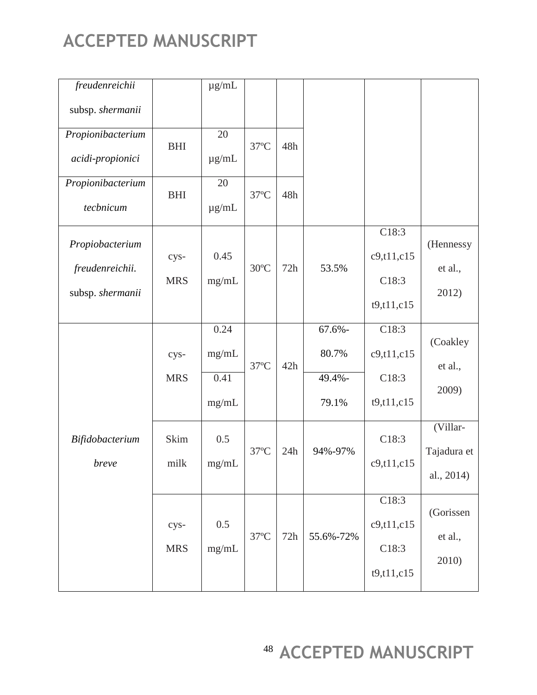| freudenreichii    |            | $\mu$ g/mL |                |     |           |              |             |
|-------------------|------------|------------|----------------|-----|-----------|--------------|-------------|
| subsp. shermanii  |            |            |                |     |           |              |             |
| Propionibacterium | <b>BHI</b> | 20         | $37^{\circ}$ C | 48h |           |              |             |
| acidi-propionici  |            | $\mu$ g/mL |                |     |           |              |             |
| Propionibacterium | <b>BHI</b> | 20         | $37^{\circ}$ C | 48h |           |              |             |
| tecbnicum         |            | $\mu$ g/mL |                |     |           |              |             |
| Propiobacterium   |            |            |                |     |           | C18:3        | (Hennessy   |
| freudenreichii.   | cys-       | 0.45       | $30^{\circ}$ C | 72h | 53.5%     | c9, t11, c15 | et al.,     |
|                   | <b>MRS</b> | mg/mL      |                |     |           | C18:3        |             |
| subsp. shermanii  |            |            |                |     |           | t9, t11, c15 | 2012)       |
|                   |            | 0.24       |                |     | $67.6% -$ | C18:3        |             |
|                   | cys-       | mg/mL      |                |     | 80.7%     | c9, t11, c15 | (Coakley    |
|                   | <b>MRS</b> | 0.41       | $37^{\circ}$ C | 42h | 49.4%-    | C18:3        | et al.,     |
|                   |            | mg/mL      |                |     | 79.1%     | t9, t11, c15 | 2009)       |
| Bifidobacterium   | Skim       | 0.5        |                |     |           | C18:3        | (Villar-    |
| breve             | milk       | mg/mL      | $37^{\circ}$ C | 24h | 94%-97%   | c9, t11, c15 | Tajadura et |
|                   |            |            |                |     |           |              | al., 2014)  |
|                   |            |            |                |     |           | C18:3        | (Gorissen   |
|                   | cys-       | 0.5        |                |     |           | c9, t11, c15 |             |
|                   | <b>MRS</b> | mg/mL      | $37^{\circ}$ C | 72h | 55.6%-72% | C18:3        | et al.,     |
|                   |            |            |                |     |           | t9, t11, c15 | 2010)       |

<sup>48</sup> ACCEPTED MANUSCRIPT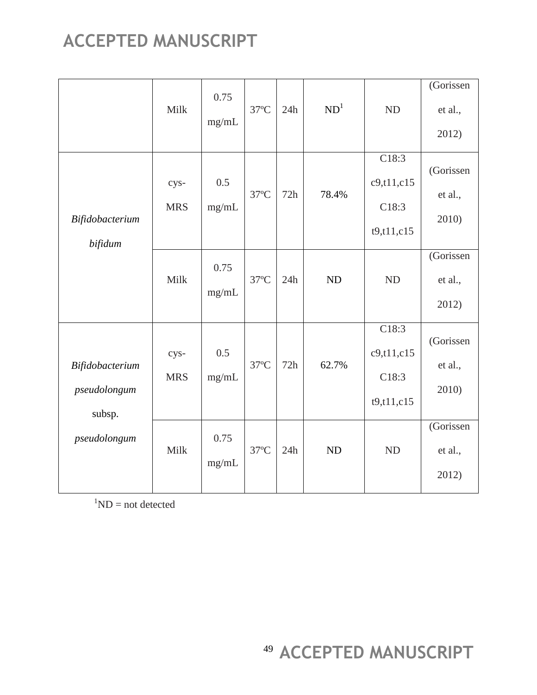|                                                                                         | Milk               | 0.75<br>mg/mL | $37^{\circ}$ C | 24h | ND <sup>1</sup> | <b>ND</b>                                      | (Gorissen<br>et al.,<br>2012) |
|-----------------------------------------------------------------------------------------|--------------------|---------------|----------------|-----|-----------------|------------------------------------------------|-------------------------------|
| Bifidobacterium<br>bifidum<br>Bifidobacterium<br>pseudolongum<br>subsp.<br>pseudolongum | cys-<br><b>MRS</b> | 0.5<br>mg/mL  | $37^{\circ}$ C | 72h | 78.4%           | C18:3<br>c9, t11, c15<br>C18:3<br>t9, t11, c15 | (Gorissen<br>et al.,<br>2010) |
|                                                                                         | Milk               | 0.75<br>mg/mL | $37^{\circ}$ C | 24h | ND              | <b>ND</b>                                      | (Gorissen<br>et al.,<br>2012) |
|                                                                                         | cys-<br><b>MRS</b> | 0.5<br>mg/mL  | $37^{\circ}$ C | 72h | 62.7%           | C18:3<br>c9, t11, c15<br>C18:3<br>t9, t11, c15 | (Gorissen<br>et al.,<br>2010) |
|                                                                                         | Milk               | 0.75<br>mg/mL | $37^{\circ}$ C | 24h | ND              | <b>ND</b>                                      | (Gorissen<br>et al.,<br>2012) |

 ${}^{1}ND = not detected$ 

<sup>49</sup> ACCEPTED MANUSCRIPT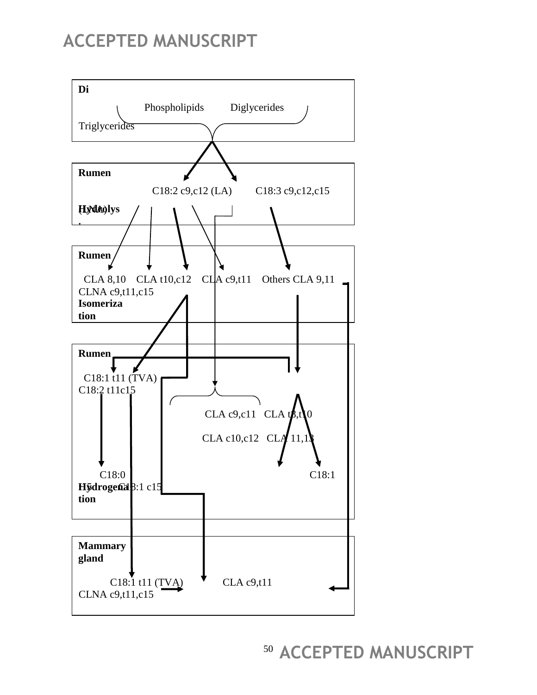

<sup>50</sup> ACCEPTED MANUSCRIPT